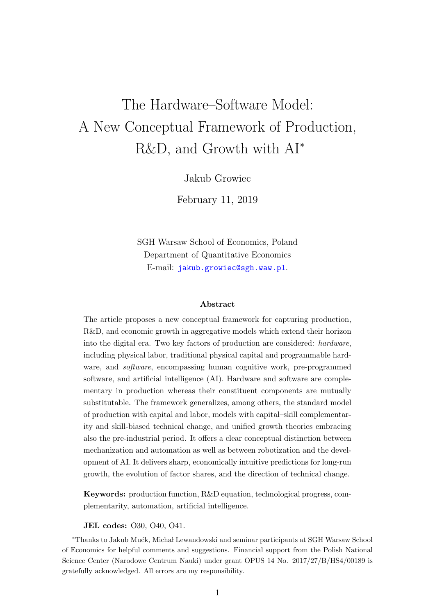# The Hardware–Software Model: A New Conceptual Framework of Production, R&D, and Growth with AI<sup>∗</sup>

Jakub Growiec

February 11, 2019

SGH Warsaw School of Economics, Poland Department of Quantitative Economics E-mail: <jakub.growiec@sgh.waw.pl>.

#### Abstract

The article proposes a new conceptual framework for capturing production, R&D, and economic growth in aggregative models which extend their horizon into the digital era. Two key factors of production are considered: hardware, including physical labor, traditional physical capital and programmable hardware, and *software*, encompassing human cognitive work, pre-programmed software, and artificial intelligence (AI). Hardware and software are complementary in production whereas their constituent components are mutually substitutable. The framework generalizes, among others, the standard model of production with capital and labor, models with capital–skill complementarity and skill-biased technical change, and unified growth theories embracing also the pre-industrial period. It offers a clear conceptual distinction between mechanization and automation as well as between robotization and the development of AI. It delivers sharp, economically intuitive predictions for long-run growth, the evolution of factor shares, and the direction of technical change.

Keywords: production function, R&D equation, technological progress, complementarity, automation, artificial intelligence.

#### JEL codes: O30, O40, O41.

<sup>\*</sup>Thanks to Jakub Mućk, Michał Lewandowski and seminar participants at SGH Warsaw School of Economics for helpful comments and suggestions. Financial support from the Polish National Science Center (Narodowe Centrum Nauki) under grant OPUS 14 No. 2017/27/B/HS4/00189 is gratefully acknowledged. All errors are my responsibility.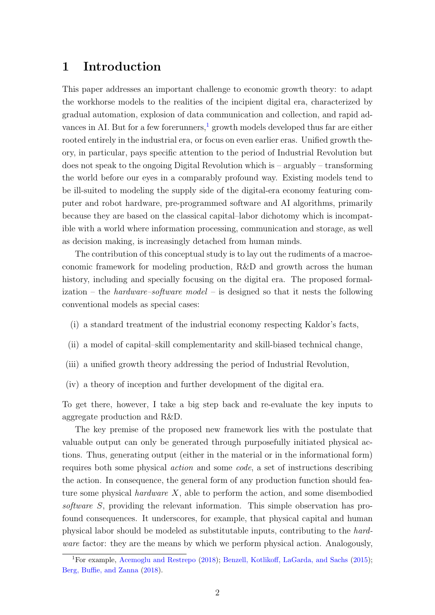### 1 Introduction

This paper addresses an important challenge to economic growth theory: to adapt the workhorse models to the realities of the incipient digital era, characterized by gradual automation, explosion of data communication and collection, and rapid ad-vances in AI. But for a few forerunners,<sup>[1](#page-1-0)</sup> growth models developed thus far are either rooted entirely in the industrial era, or focus on even earlier eras. Unified growth theory, in particular, pays specific attention to the period of Industrial Revolution but does not speak to the ongoing Digital Revolution which is – arguably – transforming the world before our eyes in a comparably profound way. Existing models tend to be ill-suited to modeling the supply side of the digital-era economy featuring computer and robot hardware, pre-programmed software and AI algorithms, primarily because they are based on the classical capital–labor dichotomy which is incompatible with a world where information processing, communication and storage, as well as decision making, is increasingly detached from human minds.

The contribution of this conceptual study is to lay out the rudiments of a macroeconomic framework for modeling production, R&D and growth across the human history, including and specially focusing on the digital era. The proposed formalization – the *hardware–software model* – is designed so that it nests the following conventional models as special cases:

- (i) a standard treatment of the industrial economy respecting Kaldor's facts,
- (ii) a model of capital–skill complementarity and skill-biased technical change,
- (iii) a unified growth theory addressing the period of Industrial Revolution,
- (iv) a theory of inception and further development of the digital era.

To get there, however, I take a big step back and re-evaluate the key inputs to aggregate production and R&D.

The key premise of the proposed new framework lies with the postulate that valuable output can only be generated through purposefully initiated physical actions. Thus, generating output (either in the material or in the informational form) requires both some physical action and some code, a set of instructions describing the action. In consequence, the general form of any production function should feature some physical *hardware*  $X$ , able to perform the action, and some disembodied software S, providing the relevant information. This simple observation has profound consequences. It underscores, for example, that physical capital and human physical labor should be modeled as substitutable inputs, contributing to the hardware factor: they are the means by which we perform physical action. Analogously,

<span id="page-1-0"></span><sup>1</sup>For example, [Acemoglu and Restrepo](#page-23-0) [\(2018\)](#page-23-0); [Benzell, Kotlikoff, LaGarda, and Sachs](#page-24-0) [\(2015\)](#page-24-0); [Berg, Buffie, and Zanna](#page-24-1) [\(2018\)](#page-24-1).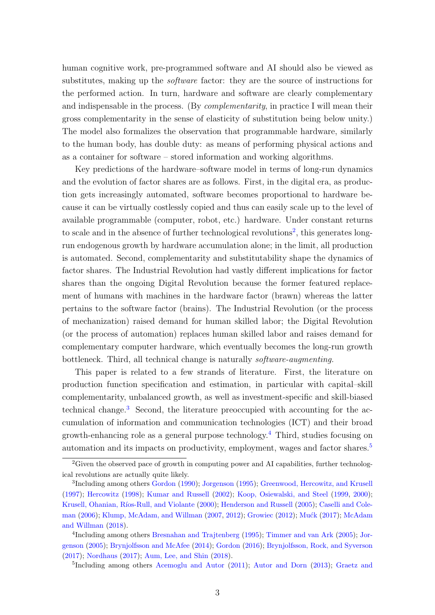human cognitive work, pre-programmed software and AI should also be viewed as substitutes, making up the *software* factor: they are the source of instructions for the performed action. In turn, hardware and software are clearly complementary and indispensable in the process. (By *complementarity*, in practice I will mean their gross complementarity in the sense of elasticity of substitution being below unity.) The model also formalizes the observation that programmable hardware, similarly to the human body, has double duty: as means of performing physical actions and as a container for software – stored information and working algorithms.

Key predictions of the hardware–software model in terms of long-run dynamics and the evolution of factor shares are as follows. First, in the digital era, as production gets increasingly automated, software becomes proportional to hardware because it can be virtually costlessly copied and thus can easily scale up to the level of available programmable (computer, robot, etc.) hardware. Under constant returns to scale and in the absence of further technological revolutions<sup>[2](#page-2-0)</sup>, this generates longrun endogenous growth by hardware accumulation alone; in the limit, all production is automated. Second, complementarity and substitutability shape the dynamics of factor shares. The Industrial Revolution had vastly different implications for factor shares than the ongoing Digital Revolution because the former featured replacement of humans with machines in the hardware factor (brawn) whereas the latter pertains to the software factor (brains). The Industrial Revolution (or the process of mechanization) raised demand for human skilled labor; the Digital Revolution (or the process of automation) replaces human skilled labor and raises demand for complementary computer hardware, which eventually becomes the long-run growth bottleneck. Third, all technical change is naturally software-augmenting.

This paper is related to a few strands of literature. First, the literature on production function specification and estimation, in particular with capital–skill complementarity, unbalanced growth, as well as investment-specific and skill-biased technical change.[3](#page-2-1) Second, the literature preoccupied with accounting for the accumulation of information and communication technologies (ICT) and their broad growth-enhancing role as a general purpose technology.<sup>[4](#page-2-2)</sup> Third, studies focusing on automation and its impacts on productivity, employment, wages and factor shares.[5](#page-2-3)

<span id="page-2-3"></span><sup>5</sup>Including among others [Acemoglu and Autor](#page-23-2) [\(2011\)](#page-23-2); [Autor and Dorn](#page-23-3) [\(2013\)](#page-23-3); [Graetz and](#page-25-4)

<span id="page-2-0"></span> ${}^{2}$ Given the observed pace of growth in computing power and AI capabilities, further technological revolutions are actually quite likely.

<span id="page-2-1"></span><sup>&</sup>lt;sup>3</sup>Including among others [Gordon](#page-25-0) [\(1990\)](#page-25-0); [Jorgenson](#page-26-0) [\(1995\)](#page-26-0); [Greenwood, Hercowitz, and Krusell](#page-25-1) [\(1997\)](#page-25-1); [Hercowitz](#page-26-1) [\(1998\)](#page-26-1); [Kumar and Russell](#page-27-0) [\(2002\)](#page-27-0); [Koop, Osiewalski, and Steel](#page-27-1) [\(1999,](#page-27-1) [2000\)](#page-27-2); Krusell, Ohanian, Ríos-Rull, and Violante [\(2000\)](#page-27-3); [Henderson and Russell](#page-26-2) [\(2005\)](#page-26-2); [Caselli and Cole](#page-24-2)[man](#page-24-2) [\(2006\)](#page-24-2); [Klump, McAdam, and Willman](#page-27-4) [\(2007,](#page-27-4) [2012\)](#page-27-5); [Growiec](#page-25-2) [\(2012\)](#page-25-2); Muck [\(2017\)](#page-27-6); [McAdam](#page-27-7) [and Willman](#page-27-7) [\(2018\)](#page-27-7).

<span id="page-2-2"></span><sup>4</sup> Including among others [Bresnahan and Trajtenberg](#page-24-3) [\(1995\)](#page-24-3); [Timmer and van Ark](#page-29-0) [\(2005\)](#page-29-0); [Jor](#page-26-3)[genson](#page-26-3) [\(2005\)](#page-26-3); [Brynjolfsson and McAfee](#page-24-4) [\(2014\)](#page-24-4); [Gordon](#page-25-3) [\(2016\)](#page-25-3); [Brynjolfsson, Rock, and Syverson](#page-24-5) [\(2017\)](#page-24-5); [Nordhaus](#page-28-0) [\(2017\)](#page-28-0); [Aum, Lee, and Shin](#page-23-1) [\(2018\)](#page-23-1).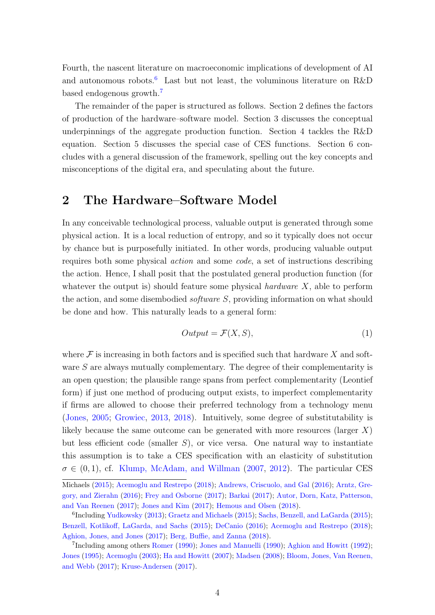[Fourth, the nascent literature on macroeconomic implications of development of AI](#page-25-4) and autonomous robots.<sup>[6](#page-3-0)</sup> [Last but not least, the voluminous literature on R&D](#page-25-4) [based endogenous growth.](#page-25-4)[7](#page-3-1)

[The remainder of the paper is structured as follows. Section 2 defines the factors](#page-25-4) [of production of the hardware–software model. Section 3 discusses the conceptual](#page-25-4) [underpinnings of the aggregate production function. Section 4 tackles the R&D](#page-25-4) [equation. Section 5 discusses the special case of CES functions. Section 6 con](#page-25-4)[cludes with a general discussion of the framework, spelling out the key concepts and](#page-25-4) [misconceptions of the digital era, and speculating about the future.](#page-25-4)

### [2 The Hardware–Software Model](#page-25-4)

[In any conceivable technological process, valuable output is generated through some](#page-25-4) [physical action. It is a local reduction of entropy, and so it typically does not occur](#page-25-4) [by chance but is purposefully initiated. In other words, producing valuable output](#page-25-4) requires both some physical action and some code[, a set of instructions describing](#page-25-4) [the action. Hence, I shall posit that the postulated general production function \(for](#page-25-4) [whatever the output is\) should feature some physical](#page-25-4) *hardware*  $X$ , able to perform the action, and some disembodied *software S*[, providing information on what should](#page-25-4) [be done and how. This naturally leads to a general form:](#page-25-4)

<span id="page-3-2"></span>
$$
Output = \mathcal{F}(X, S), \tag{1}
$$

where  $\mathcal F$  [is increasing in both factors and is specified such that hardware](#page-25-4) X and software S [are always mutually complementary. The degree of their complementarity is](#page-25-4) [an open question; the plausible range spans from perfect complementarity \(Leontief](#page-25-4) [form\) if just one method of producing output exists, to imperfect complementarity](#page-25-4) [if firms are allowed to choose their preferred technology from a technology menu](#page-25-4) [\(Jones,](#page-26-4) [2005;](#page-26-4) [Growiec,](#page-25-5) [2013,](#page-25-5) [2018\). Intuitively, some degree of substitutability is](#page-25-4) [likely because the same outcome can be generated with more resources \(larger](#page-25-4)  $X$ ) but less efficient code (smaller  $S$ [\), or vice versa. One natural way to instantiate](#page-25-4) [this assumption is to take a CES specification with an elasticity of substitution](#page-25-4)  $\sigma \in (0, 1)$ , cf. [Klump, McAdam, and Willman](#page-25-4) [\(2007,](#page-27-4) [2012\)](#page-27-5). The particular CES

[Michaels](#page-25-4) [\(2015\)](#page-25-4); [Acemoglu and Restrepo](#page-23-0) [\(2018\)](#page-23-0); [Andrews, Criscuolo, and Gal](#page-23-4) [\(2016\)](#page-23-4); [Arntz, Gre](#page-23-5)[gory, and Zierahn](#page-23-5) [\(2016\)](#page-23-5); [Frey and Osborne](#page-24-6) [\(2017\)](#page-24-6); [Barkai](#page-24-7) [\(2017\)](#page-24-7); [Autor, Dorn, Katz, Patterson,](#page-23-6) [and Van Reenen](#page-23-6) [\(2017\)](#page-23-6); [Jones and Kim](#page-26-5) [\(2017\)](#page-26-5); [Hemous and Olsen](#page-26-6) [\(2018\)](#page-26-6).

<span id="page-3-0"></span><sup>&</sup>lt;sup>6</sup>Including [Yudkowsky](#page-29-1) [\(2013\)](#page-29-1); [Graetz and Michaels](#page-25-4) [\(2015\)](#page-28-1); [Sachs, Benzell, and LaGarda](#page-28-1) (2015); [Benzell, Kotlikoff, LaGarda, and Sachs](#page-24-0) [\(2015\)](#page-24-0); [DeCanio](#page-24-8) [\(2016\)](#page-24-8); [Acemoglu and Restrepo](#page-23-0) [\(2018\)](#page-23-0); [Aghion, Jones, and Jones](#page-23-7) [\(2017\)](#page-23-7); [Berg, Buffie, and Zanna](#page-24-1) [\(2018\)](#page-24-1).

<span id="page-3-1"></span><sup>&</sup>lt;sup>7</sup>Including among others [Romer](#page-28-2) [\(1990\)](#page-26-7); [Jones and Manuelli](#page-26-7) (1990); [Aghion and Howitt](#page-23-8) [\(1992\)](#page-23-8); [Jones](#page-26-8) [\(1995\)](#page-26-8); [Acemoglu](#page-23-9) [\(2003\)](#page-23-9); [Ha and Howitt](#page-25-7) [\(2007\)](#page-25-7); [Madsen](#page-27-8) [\(2008\)](#page-27-8); [Bloom, Jones, Van Reenen,](#page-24-9) [and Webb](#page-24-9) [\(2017\)](#page-24-9); [Kruse-Andersen](#page-27-9) [\(2017\)](#page-27-9).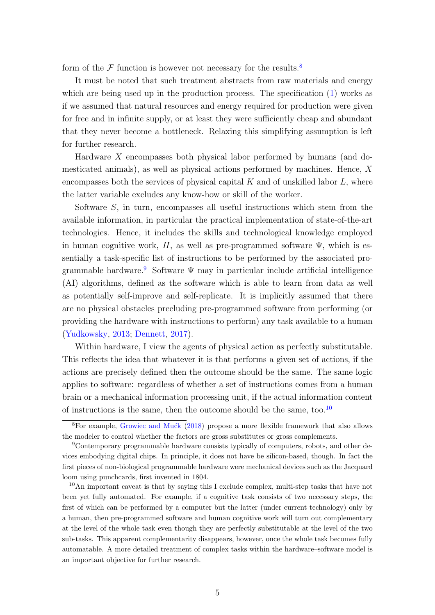form of the  $\mathcal F$  function is however not necessary for the results.<sup>[8](#page-4-0)</sup>

It must be noted that such treatment abstracts from raw materials and energy which are being used up in the production process. The specification  $(1)$  works as if we assumed that natural resources and energy required for production were given for free and in infinite supply, or at least they were sufficiently cheap and abundant that they never become a bottleneck. Relaxing this simplifying assumption is left for further research.

Hardware X encompasses both physical labor performed by humans (and domesticated animals), as well as physical actions performed by machines. Hence, X encompasses both the services of physical capital  $K$  and of unskilled labor  $L$ , where the latter variable excludes any know-how or skill of the worker.

Software S, in turn, encompasses all useful instructions which stem from the available information, in particular the practical implementation of state-of-the-art technologies. Hence, it includes the skills and technological knowledge employed in human cognitive work, H, as well as pre-programmed software  $\Psi$ , which is essentially a task-specific list of instructions to be performed by the associated pro-grammable hardware.<sup>[9](#page-4-1)</sup> Software  $\Psi$  may in particular include artificial intelligence (AI) algorithms, defined as the software which is able to learn from data as well as potentially self-improve and self-replicate. It is implicitly assumed that there are no physical obstacles precluding pre-programmed software from performing (or providing the hardware with instructions to perform) any task available to a human [\(Yudkowsky,](#page-29-1) [2013;](#page-29-1) [Dennett,](#page-24-10) [2017\)](#page-24-10).

Within hardware, I view the agents of physical action as perfectly substitutable. This reflects the idea that whatever it is that performs a given set of actions, if the actions are precisely defined then the outcome should be the same. The same logic applies to software: regardless of whether a set of instructions comes from a human brain or a mechanical information processing unit, if the actual information content of instructions is the same, then the outcome should be the same, too.<sup>[10](#page-4-2)</sup>

<span id="page-4-0"></span> ${}^{8}$ For example, Growiec and Muck [\(2018\)](#page-25-8) propose a more flexible framework that also allows the modeler to control whether the factors are gross substitutes or gross complements.

<span id="page-4-1"></span><sup>9</sup>Contemporary programmable hardware consists typically of computers, robots, and other devices embodying digital chips. In principle, it does not have be silicon-based, though. In fact the first pieces of non-biological programmable hardware were mechanical devices such as the Jacquard loom using punchcards, first invented in 1804.

<span id="page-4-2"></span><sup>10</sup>An important caveat is that by saying this I exclude complex, multi-step tasks that have not been yet fully automated. For example, if a cognitive task consists of two necessary steps, the first of which can be performed by a computer but the latter (under current technology) only by a human, then pre-programmed software and human cognitive work will turn out complementary at the level of the whole task even though they are perfectly substitutable at the level of the two sub-tasks. This apparent complementarity disappears, however, once the whole task becomes fully automatable. A more detailed treatment of complex tasks within the hardware–software model is an important objective for further research.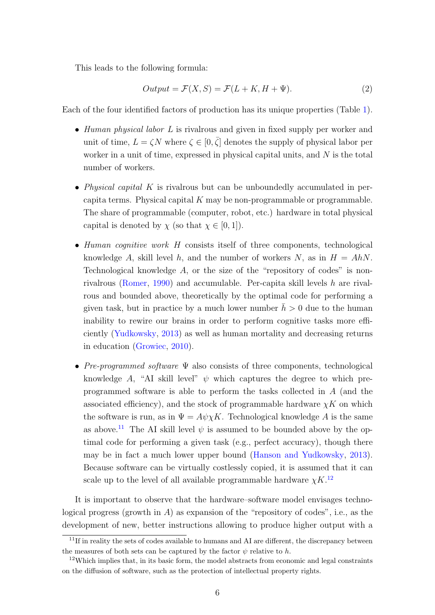This leads to the following formula:

<span id="page-5-2"></span>
$$
Output = \mathcal{F}(X, S) = \mathcal{F}(L + K, H + \Psi). \tag{2}
$$

Each of the four identified factors of production has its unique properties (Table [1\)](#page-6-0).

- Human physical labor L is rivalrous and given in fixed supply per worker and unit of time,  $L = \zeta N$  where  $\zeta \in [0, \overline{\zeta}]$  denotes the supply of physical labor per worker in a unit of time, expressed in physical capital units, and N is the total number of workers.
- Physical capital  $K$  is rivalrous but can be unboundedly accumulated in percapita terms. Physical capital  $K$  may be non-programmable or programmable. The share of programmable (computer, robot, etc.) hardware in total physical capital is denoted by  $\chi$  (so that  $\chi \in [0,1]$ ).
- Human cognitive work H consists itself of three components, technological knowledge A, skill level h, and the number of workers N, as in  $H = AhN$ . Technological knowledge  $A$ , or the size of the "repository of codes" is nonrivalrous [\(Romer,](#page-28-2) [1990\)](#page-28-2) and accumulable. Per-capita skill levels h are rivalrous and bounded above, theoretically by the optimal code for performing a given task, but in practice by a much lower number  $\bar{h} > 0$  due to the human inability to rewire our brains in order to perform cognitive tasks more efficiently [\(Yudkowsky,](#page-29-1) [2013\)](#page-29-1) as well as human mortality and decreasing returns in education [\(Growiec,](#page-25-9) [2010\)](#page-25-9).
- Pre-programmed software Ψ also consists of three components, technological knowledge A, "AI skill level"  $\psi$  which captures the degree to which preprogrammed software is able to perform the tasks collected in A (and the associated efficiency), and the stock of programmable hardware  $\chi K$  on which the software is run, as in  $\Psi = A\psi \chi K$ . Technological knowledge A is the same as above.<sup>[11](#page-5-0)</sup> The AI skill level  $\psi$  is assumed to be bounded above by the optimal code for performing a given task (e.g., perfect accuracy), though there may be in fact a much lower upper bound [\(Hanson and Yudkowsky,](#page-25-10) [2013\)](#page-25-10). Because software can be virtually costlessly copied, it is assumed that it can scale up to the level of all available programmable hardware  $\chi K$ .<sup>[12](#page-5-1)</sup>

It is important to observe that the hardware–software model envisages technological progress (growth in A) as expansion of the "repository of codes", i.e., as the development of new, better instructions allowing to produce higher output with a

<span id="page-5-0"></span><sup>&</sup>lt;sup>11</sup>If in reality the sets of codes available to humans and AI are different, the discrepancy between the measures of both sets can be captured by the factor  $\psi$  relative to h.

<span id="page-5-1"></span> $12$ Which implies that, in its basic form, the model abstracts from economic and legal constraints on the diffusion of software, such as the protection of intellectual property rights.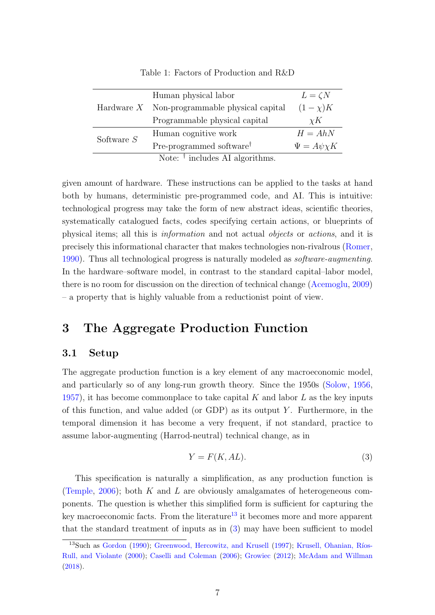|              | Human physical labor                           | $L = \zeta N$        |
|--------------|------------------------------------------------|----------------------|
|              | Hardware $X$ Non-programmable physical capital | $(1-\chi)K$          |
|              | Programmable physical capital                  | $\chi K$             |
| Software $S$ | Human cognitive work                           | $H = AhN$            |
|              | Pre-programmed software <sup>†</sup>           | $\Psi = A\psi\chi K$ |
|              | Note: $\dagger$ includes AI algorithms.        |                      |

<span id="page-6-0"></span>Table 1: Factors of Production and R&D

given amount of hardware. These instructions can be applied to the tasks at hand both by humans, deterministic pre-programmed code, and AI. This is intuitive: technological progress may take the form of new abstract ideas, scientific theories, systematically catalogued facts, codes specifying certain actions, or blueprints of physical items; all this is information and not actual objects or actions, and it is precisely this informational character that makes technologies non-rivalrous [\(Romer,](#page-28-2) [1990\)](#page-28-2). Thus all technological progress is naturally modeled as software-augmenting. In the hardware–software model, in contrast to the standard capital–labor model, there is no room for discussion on the direction of technical change [\(Acemoglu,](#page-23-10) [2009\)](#page-23-10) – a property that is highly valuable from a reductionist point of view.

### 3 The Aggregate Production Function

### 3.1 Setup

The aggregate production function is a key element of any macroeconomic model, and particularly so of any long-run growth theory. Since the 1950s [\(Solow,](#page-28-3) [1956,](#page-28-3) [1957\)](#page-28-4), it has become commonplace to take capital K and labor  $L$  as the key inputs of this function, and value added (or GDP) as its output  $Y$ . Furthermore, in the temporal dimension it has become a very frequent, if not standard, practice to assume labor-augmenting (Harrod-neutral) technical change, as in

<span id="page-6-2"></span>
$$
Y = F(K, AL). \tag{3}
$$

This specification is naturally a simplification, as any production function is [\(Temple,](#page-28-5) [2006\)](#page-28-5); both K and L are obviously amalgamates of heterogeneous components. The question is whether this simplified form is sufficient for capturing the key macroeconomic facts. From the literature<sup>[13](#page-6-1)</sup> it becomes more and more apparent that the standard treatment of inputs as in [\(3\)](#page-6-2) may have been sufficient to model

<span id="page-6-1"></span> $13$ Such as [Gordon](#page-25-0) [\(1990\)](#page-25-0); [Greenwood, Hercowitz, and Krusell](#page-25-1) [\(1997\)](#page-25-1); Krusell, Ohanian, Ríos-[Rull, and Violante](#page-27-3) [\(2000\)](#page-27-3); [Caselli and Coleman](#page-24-2) [\(2006\)](#page-24-2); [Growiec](#page-25-2) [\(2012\)](#page-25-2); [McAdam and Willman](#page-27-7) [\(2018\)](#page-27-7).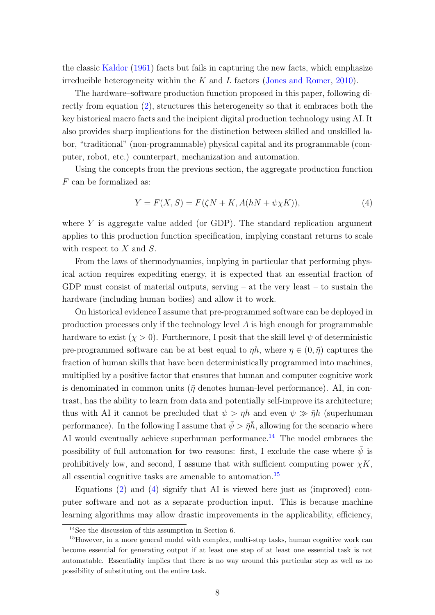the classic [Kaldor](#page-26-9) [\(1961\)](#page-26-9) facts but fails in capturing the new facts, which emphasize irreducible heterogeneity within the  $K$  and  $L$  factors [\(Jones and Romer,](#page-26-10) [2010\)](#page-26-10).

The hardware–software production function proposed in this paper, following directly from equation [\(2\)](#page-5-2), structures this heterogeneity so that it embraces both the key historical macro facts and the incipient digital production technology using AI. It also provides sharp implications for the distinction between skilled and unskilled labor, "traditional" (non-programmable) physical capital and its programmable (computer, robot, etc.) counterpart, mechanization and automation.

Using the concepts from the previous section, the aggregate production function F can be formalized as:

<span id="page-7-2"></span>
$$
Y = F(X, S) = F(\zeta N + K, A(hN + \psi \chi K)), \tag{4}
$$

where Y is aggregate value added (or GDP). The standard replication argument applies to this production function specification, implying constant returns to scale with respect to  $X$  and  $S$ .

From the laws of thermodynamics, implying in particular that performing physical action requires expediting energy, it is expected that an essential fraction of GDP must consist of material outputs, serving  $-$  at the very least  $-$  to sustain the hardware (including human bodies) and allow it to work.

On historical evidence I assume that pre-programmed software can be deployed in production processes only if the technology level A is high enough for programmable hardware to exist  $(\chi > 0)$ . Furthermore, I posit that the skill level  $\psi$  of deterministic pre-programmed software can be at best equal to  $\eta h$ , where  $\eta \in (0, \bar{\eta})$  captures the fraction of human skills that have been deterministically programmed into machines, multiplied by a positive factor that ensures that human and computer cognitive work is denominated in common units ( $\bar{\eta}$  denotes human-level performance). AI, in contrast, has the ability to learn from data and potentially self-improve its architecture; thus with AI it cannot be precluded that  $\psi > \eta h$  and even  $\psi \gg \bar{\eta} h$  (superhuman performance). In the following I assume that  $\bar{\psi} > \bar{\eta} \bar{h}$ , allowing for the scenario where AI would eventually achieve superhuman performance.<sup>[14](#page-7-0)</sup> The model embraces the possibility of full automation for two reasons: first, I exclude the case where  $\bar{\psi}$  is prohibitively low, and second, I assume that with sufficient computing power  $\chi K$ , all essential cognitive tasks are amenable to automation.<sup>[15](#page-7-1)</sup>

Equations [\(2\)](#page-5-2) and [\(4\)](#page-7-2) signify that AI is viewed here just as (improved) computer software and not as a separate production input. This is because machine learning algorithms may allow drastic improvements in the applicability, efficiency,

<span id="page-7-1"></span><span id="page-7-0"></span><sup>14</sup>See the discussion of this assumption in Section 6.

<sup>&</sup>lt;sup>15</sup>However, in a more general model with complex, multi-step tasks, human cognitive work can become essential for generating output if at least one step of at least one essential task is not automatable. Essentiality implies that there is no way around this particular step as well as no possibility of substituting out the entire task.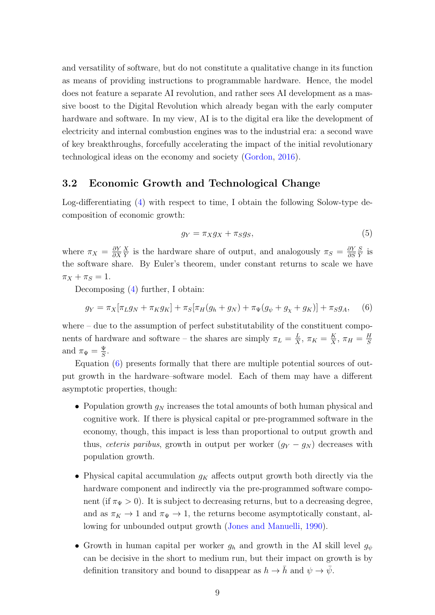and versatility of software, but do not constitute a qualitative change in its function as means of providing instructions to programmable hardware. Hence, the model does not feature a separate AI revolution, and rather sees AI development as a massive boost to the Digital Revolution which already began with the early computer hardware and software. In my view, AI is to the digital era like the development of electricity and internal combustion engines was to the industrial era: a second wave of key breakthroughs, forcefully accelerating the impact of the initial revolutionary technological ideas on the economy and society [\(Gordon,](#page-25-3) [2016\)](#page-25-3).

#### 3.2 Economic Growth and Technological Change

Log-differentiating [\(4\)](#page-7-2) with respect to time, I obtain the following Solow-type decomposition of economic growth:

$$
g_Y = \pi_X g_X + \pi_S g_S,\tag{5}
$$

where  $\pi_X = \frac{\partial Y}{\partial X}$ ∂X  $\overline{X}$  $\frac{X}{Y}$  is the hardware share of output, and analogously  $\pi_S = \frac{\partial Y}{\partial S}$ ∂S S  $\frac{S}{Y}$  is the software share. By Euler's theorem, under constant returns to scale we have  $\pi_X + \pi_S = 1.$ 

Decomposing [\(4\)](#page-7-2) further, I obtain:

<span id="page-8-0"></span>
$$
g_Y = \pi_X[\pi_L g_N + \pi_K g_K] + \pi_S[\pi_H(g_h + g_N) + \pi_{\Psi}(g_{\psi} + g_{\chi} + g_K)] + \pi_S g_A, \quad (6)
$$

where – due to the assumption of perfect substitutability of the constituent components of hardware and software – the shares are simply  $\pi_L = \frac{L}{X}$  $\frac{L}{X}$ ,  $\pi_K = \frac{K}{X}$  $\frac{K}{X}$ ,  $\pi_H = \frac{H}{S}$ S and  $\pi_{\Psi} = \frac{\Psi}{S}$  $\frac{\Psi}{S}$ .

Equation [\(6\)](#page-8-0) presents formally that there are multiple potential sources of output growth in the hardware–software model. Each of them may have a different asymptotic properties, though:

- Population growth  $g_N$  increases the total amounts of both human physical and cognitive work. If there is physical capital or pre-programmed software in the economy, though, this impact is less than proportional to output growth and thus, ceteris paribus, growth in output per worker  $(g_Y - g_N)$  decreases with population growth.
- Physical capital accumulation  $g_K$  affects output growth both directly via the hardware component and indirectly via the pre-programmed software component (if  $\pi_{\Psi} > 0$ ). It is subject to decreasing returns, but to a decreasing degree, and as  $\pi_K \to 1$  and  $\pi_{\Psi} \to 1$ , the returns become asymptotically constant, allowing for unbounded output growth [\(Jones and Manuelli,](#page-26-7) [1990\)](#page-26-7).
- Growth in human capital per worker  $g_h$  and growth in the AI skill level  $g_{\psi}$ can be decisive in the short to medium run, but their impact on growth is by definition transitory and bound to disappear as  $h \to \bar{h}$  and  $\psi \to \bar{\psi}$ .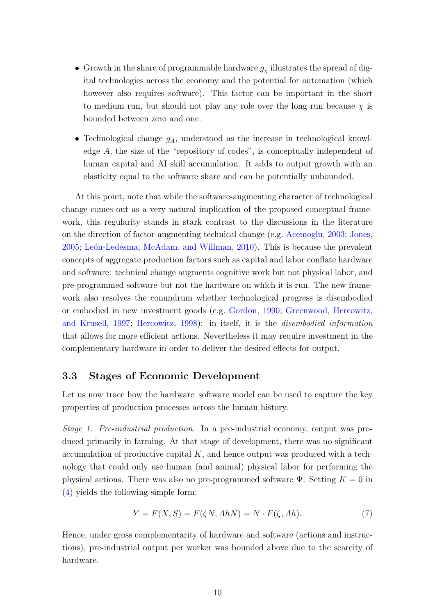- Growth in the share of programmable hardware  $g_{\chi}$  illustrates the spread of digital technologies across the economy and the potential for automation (which however also requires software). This factor can be important in the short to medium run, but should not play any role over the long run because  $\chi$  is bounded between zero and one.
- Technological change  $g_A$ , understood as the increase in technological knowledge A, the size of the "repository of codes", is conceptually independent of human capital and AI skill accumulation. It adds to output growth with an elasticity equal to the software share and can be potentially unbounded.

At this point, note that while the software-augmenting character of technological change comes out as a very natural implication of the proposed conceptual framework, this regularity stands in stark contrast to the discussions in the literature on the direction of factor-augmenting technical change (e.g. [Acemoglu,](#page-23-9) [2003;](#page-23-9) [Jones,](#page-26-4) [2005;](#page-26-4) León-Ledesma, McAdam, and Willman, [2010\)](#page-27-10). This is because the prevalent concepts of aggregate production factors such as capital and labor conflate hardware and software: technical change augments cognitive work but not physical labor, and pre-programmed software but not the hardware on which it is run. The new framework also resolves the conundrum whether technological progress is disembodied or embodied in new investment goods (e.g. [Gordon,](#page-25-0) [1990;](#page-25-0) [Greenwood, Hercowitz,](#page-25-1) [and Krusell,](#page-25-1) [1997;](#page-25-1) [Hercowitz,](#page-26-1) [1998\)](#page-26-1): in itself, it is the disembodied information that allows for more efficient actions. Nevertheless it may require investment in the complementary hardware in order to deliver the desired effects for output.

### 3.3 Stages of Economic Development

Let us now trace how the hardware–software model can be used to capture the key properties of production processes across the human history.

Stage 1. Pre-industrial production. In a pre-industrial economy, output was produced primarily in farming. At that stage of development, there was no significant accumulation of productive capital  $K$ , and hence output was produced with a technology that could only use human (and animal) physical labor for performing the physical actions. There was also no pre-programmed software  $\Psi$ . Setting  $K = 0$  in [\(4\)](#page-7-2) yields the following simple form:

$$
Y = F(X, S) = F(\zeta N, AhN) = N \cdot F(\zeta, Ah). \tag{7}
$$

Hence, under gross complementarity of hardware and software (actions and instructions), pre-industrial output per worker was bounded above due to the scarcity of hardware.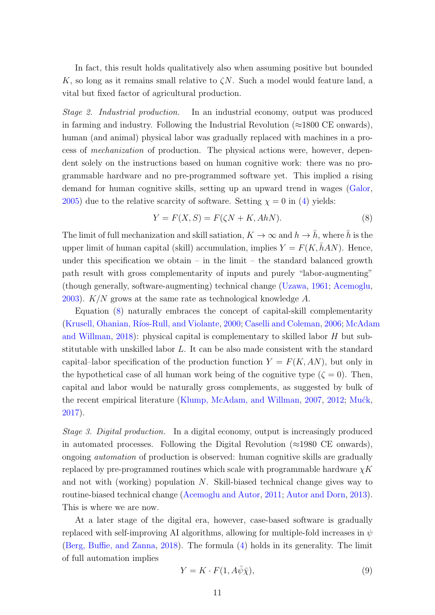In fact, this result holds qualitatively also when assuming positive but bounded K, so long as it remains small relative to  $\zeta N$ . Such a model would feature land, a vital but fixed factor of agricultural production.

Stage 2. Industrial production. In an industrial economy, output was produced in farming and industry. Following the Industrial Revolution ( $\approx$ 1800 CE onwards), human (and animal) physical labor was gradually replaced with machines in a process of mechanization of production. The physical actions were, however, dependent solely on the instructions based on human cognitive work: there was no programmable hardware and no pre-programmed software yet. This implied a rising demand for human cognitive skills, setting up an upward trend in wages [\(Galor,](#page-24-11) [2005\)](#page-24-11) due to the relative scarcity of software. Setting  $\chi = 0$  in [\(4\)](#page-7-2) yields:

<span id="page-10-0"></span>
$$
Y = F(X, S) = F(\zeta N + K, AhN). \tag{8}
$$

The limit of full mechanization and skill satiation,  $K \to \infty$  and  $h \to \bar{h}$ , where  $\bar{h}$  is the upper limit of human capital (skill) accumulation, implies  $Y = F(K, \bar{h}AN)$ . Hence, under this specification we obtain  $-$  in the limit  $-$  the standard balanced growth path result with gross complementarity of inputs and purely "labor-augmenting" (though generally, software-augmenting) technical change [\(Uzawa,](#page-29-2) [1961;](#page-29-2) [Acemoglu,](#page-23-9) [2003\)](#page-23-9).  $K/N$  grows at the same rate as technological knowledge A.

Equation [\(8\)](#page-10-0) naturally embraces the concept of capital-skill complementarity (Krusell, Ohanian, Ríos-Rull, and Violante, [2000;](#page-27-3) [Caselli and Coleman,](#page-24-2) [2006;](#page-24-2) [McAdam](#page-27-7) [and Willman,](#page-27-7) [2018\)](#page-27-7): physical capital is complementary to skilled labor H but substitutable with unskilled labor L. It can be also made consistent with the standard capital–labor specification of the production function  $Y = F(K, AN)$ , but only in the hypothetical case of all human work being of the cognitive type  $(\zeta = 0)$ . Then, capital and labor would be naturally gross complements, as suggested by bulk of the recent empirical literature [\(Klump, McAdam, and Willman,](#page-27-4) [2007,](#page-27-4) [2012;](#page-27-5) Muck, [2017\)](#page-27-6).

Stage 3. Digital production. In a digital economy, output is increasingly produced in automated processes. Following the Digital Revolution ( $\approx$ 1980 CE onwards), ongoing automation of production is observed: human cognitive skills are gradually replaced by pre-programmed routines which scale with programmable hardware  $\chi K$ and not with (working) population N. Skill-biased technical change gives way to routine-biased technical change [\(Acemoglu and Autor,](#page-23-2) [2011;](#page-23-2) [Autor and Dorn,](#page-23-3) [2013\)](#page-23-3). This is where we are now.

At a later stage of the digital era, however, case-based software is gradually replaced with self-improving AI algorithms, allowing for multiple-fold increases in  $\psi$ [\(Berg, Buffie, and Zanna,](#page-24-1) [2018\)](#page-24-1). The formula [\(4\)](#page-7-2) holds in its generality. The limit of full automation implies

<span id="page-10-1"></span>
$$
Y = K \cdot F(1, A\bar{\psi}\bar{\chi}),\tag{9}
$$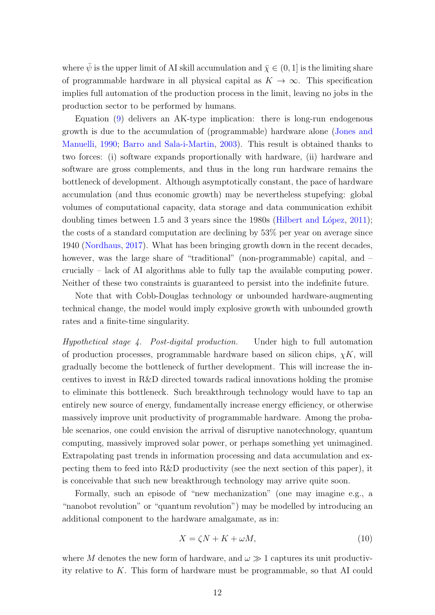where  $\bar{\psi}$  is the upper limit of AI skill accumulation and  $\bar{\chi} \in (0, 1]$  is the limiting share of programmable hardware in all physical capital as  $K \to \infty$ . This specification implies full automation of the production process in the limit, leaving no jobs in the production sector to be performed by humans.

Equation [\(9\)](#page-10-1) delivers an AK-type implication: there is long-run endogenous growth is due to the accumulation of (programmable) hardware alone [\(Jones and](#page-26-7) [Manuelli,](#page-26-7) [1990;](#page-26-7) [Barro and Sala-i-Martin,](#page-24-12) [2003\)](#page-24-12). This result is obtained thanks to two forces: (i) software expands proportionally with hardware, (ii) hardware and software are gross complements, and thus in the long run hardware remains the bottleneck of development. Although asymptotically constant, the pace of hardware accumulation (and thus economic growth) may be nevertheless stupefying: global volumes of computational capacity, data storage and data communication exhibit doubling times between 1.5 and 3 years since the  $1980s$  (Hilbert and López, [2011\)](#page-26-11); the costs of a standard computation are declining by 53% per year on average since 1940 [\(Nordhaus,](#page-28-0) [2017\)](#page-28-0). What has been bringing growth down in the recent decades, however, was the large share of "traditional" (non-programmable) capital, and  $$ crucially – lack of AI algorithms able to fully tap the available computing power. Neither of these two constraints is guaranteed to persist into the indefinite future.

Note that with Cobb-Douglas technology or unbounded hardware-augmenting technical change, the model would imply explosive growth with unbounded growth rates and a finite-time singularity.

Hypothetical stage 4. Post-digital production. Under high to full automation of production processes, programmable hardware based on silicon chips,  $\chi K$ , will gradually become the bottleneck of further development. This will increase the incentives to invest in R&D directed towards radical innovations holding the promise to eliminate this bottleneck. Such breakthrough technology would have to tap an entirely new source of energy, fundamentally increase energy efficiency, or otherwise massively improve unit productivity of programmable hardware. Among the probable scenarios, one could envision the arrival of disruptive nanotechnology, quantum computing, massively improved solar power, or perhaps something yet unimagined. Extrapolating past trends in information processing and data accumulation and expecting them to feed into R&D productivity (see the next section of this paper), it is conceivable that such new breakthrough technology may arrive quite soon.

Formally, such an episode of "new mechanization" (one may imagine e.g., a "nanobot revolution" or "quantum revolution") may be modelled by introducing an additional component to the hardware amalgamate, as in:

$$
X = \zeta N + K + \omega M,\tag{10}
$$

where M denotes the new form of hardware, and  $\omega \gg 1$  captures its unit productivity relative to K. This form of hardware must be programmable, so that AI could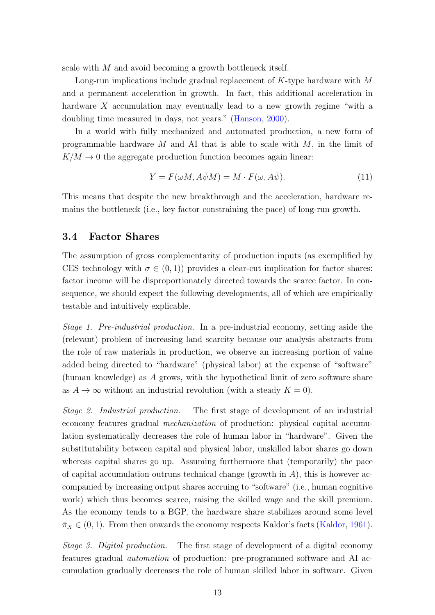scale with M and avoid becoming a growth bottleneck itself.

Long-run implications include gradual replacement of K-type hardware with M and a permanent acceleration in growth. In fact, this additional acceleration in hardware X accumulation may eventually lead to a new growth regime "with a doubling time measured in days, not years." [\(Hanson,](#page-25-11) [2000\)](#page-25-11).

In a world with fully mechanized and automated production, a new form of programmable hardware  $M$  and AI that is able to scale with  $M$ , in the limit of  $K/M \rightarrow 0$  the aggregate production function becomes again linear:

$$
Y = F(\omega M, A\bar{\psi}M) = M \cdot F(\omega, A\bar{\psi}).
$$
\n(11)

This means that despite the new breakthrough and the acceleration, hardware remains the bottleneck (i.e., key factor constraining the pace) of long-run growth.

#### 3.4 Factor Shares

The assumption of gross complementarity of production inputs (as exemplified by CES technology with  $\sigma \in (0,1)$  provides a clear-cut implication for factor shares: factor income will be disproportionately directed towards the scarce factor. In consequence, we should expect the following developments, all of which are empirically testable and intuitively explicable.

Stage 1. Pre-industrial production. In a pre-industrial economy, setting aside the (relevant) problem of increasing land scarcity because our analysis abstracts from the role of raw materials in production, we observe an increasing portion of value added being directed to "hardware" (physical labor) at the expense of "software" (human knowledge) as A grows, with the hypothetical limit of zero software share as  $A \to \infty$  without an industrial revolution (with a steady  $K = 0$ ).

Stage 2. Industrial production. The first stage of development of an industrial economy features gradual mechanization of production: physical capital accumulation systematically decreases the role of human labor in "hardware". Given the substitutability between capital and physical labor, unskilled labor shares go down whereas capital shares go up. Assuming furthermore that (temporarily) the pace of capital accumulation outruns technical change (growth in  $A$ ), this is however accompanied by increasing output shares accruing to "software" (i.e., human cognitive work) which thus becomes scarce, raising the skilled wage and the skill premium. As the economy tends to a BGP, the hardware share stabilizes around some level  $\bar{\pi}_X \in (0, 1)$ . From then onwards the economy respects Kaldor's facts [\(Kaldor,](#page-26-9) [1961\)](#page-26-9).

Stage 3. Digital production. The first stage of development of a digital economy features gradual automation of production: pre-programmed software and AI accumulation gradually decreases the role of human skilled labor in software. Given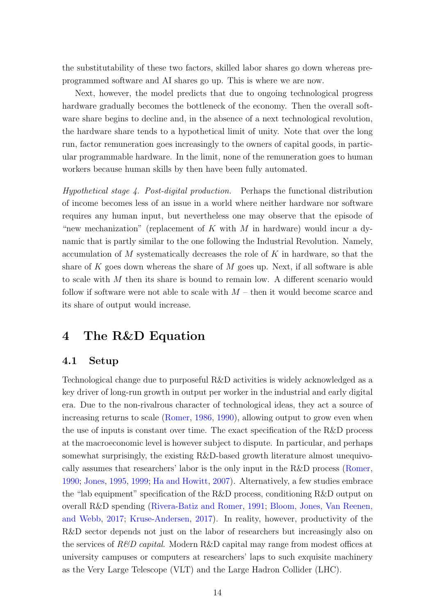the substitutability of these two factors, skilled labor shares go down whereas preprogrammed software and AI shares go up. This is where we are now.

Next, however, the model predicts that due to ongoing technological progress hardware gradually becomes the bottleneck of the economy. Then the overall software share begins to decline and, in the absence of a next technological revolution, the hardware share tends to a hypothetical limit of unity. Note that over the long run, factor remuneration goes increasingly to the owners of capital goods, in particular programmable hardware. In the limit, none of the remuneration goes to human workers because human skills by then have been fully automated.

Hypothetical stage 4. Post-digital production. Perhaps the functional distribution of income becomes less of an issue in a world where neither hardware nor software requires any human input, but nevertheless one may observe that the episode of "new mechanization" (replacement of K with M in hardware) would incur a dynamic that is partly similar to the one following the Industrial Revolution. Namely, accumulation of  $M$  systematically decreases the role of  $K$  in hardware, so that the share of K goes down whereas the share of M goes up. Next, if all software is able to scale with M then its share is bound to remain low. A different scenario would follow if software were not able to scale with  $M$  – then it would become scarce and its share of output would increase.

### 4 The R&D Equation

### 4.1 Setup

Technological change due to purposeful R&D activities is widely acknowledged as a key driver of long-run growth in output per worker in the industrial and early digital era. Due to the non-rivalrous character of technological ideas, they act a source of increasing returns to scale [\(Romer,](#page-28-6) [1986,](#page-28-6) [1990\)](#page-28-2), allowing output to grow even when the use of inputs is constant over time. The exact specification of the R&D process at the macroeconomic level is however subject to dispute. In particular, and perhaps somewhat surprisingly, the existing R&D-based growth literature almost unequivocally assumes that researchers' labor is the only input in the R&D process [\(Romer,](#page-28-2) [1990;](#page-28-2) [Jones,](#page-26-8) [1995,](#page-26-8) [1999;](#page-26-12) [Ha and Howitt,](#page-25-7) [2007\)](#page-25-7). Alternatively, a few studies embrace the "lab equipment" specification of the R&D process, conditioning R&D output on overall R&D spending [\(Rivera-Batiz and Romer,](#page-28-7) [1991;](#page-28-7) [Bloom, Jones, Van Reenen,](#page-24-9) [and Webb,](#page-24-9) [2017;](#page-24-9) [Kruse-Andersen,](#page-27-9) [2017\)](#page-27-9). In reality, however, productivity of the R&D sector depends not just on the labor of researchers but increasingly also on the services of  $R\&D$  capital. Modern R&D capital may range from modest offices at university campuses or computers at researchers' laps to such exquisite machinery as the Very Large Telescope (VLT) and the Large Hadron Collider (LHC).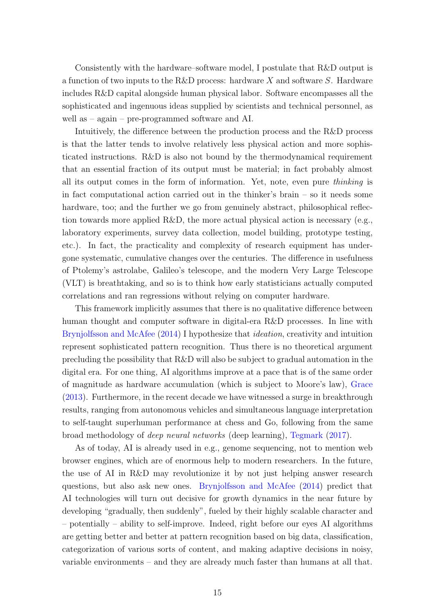Consistently with the hardware–software model, I postulate that R&D output is a function of two inputs to the R&D process: hardware X and software S. Hardware includes R&D capital alongside human physical labor. Software encompasses all the sophisticated and ingenuous ideas supplied by scientists and technical personnel, as well as – again – pre-programmed software and AI.

Intuitively, the difference between the production process and the R&D process is that the latter tends to involve relatively less physical action and more sophisticated instructions. R&D is also not bound by the thermodynamical requirement that an essential fraction of its output must be material; in fact probably almost all its output comes in the form of information. Yet, note, even pure thinking is in fact computational action carried out in the thinker's brain – so it needs some hardware, too; and the further we go from genuinely abstract, philosophical reflection towards more applied R&D, the more actual physical action is necessary (e.g., laboratory experiments, survey data collection, model building, prototype testing, etc.). In fact, the practicality and complexity of research equipment has undergone systematic, cumulative changes over the centuries. The difference in usefulness of Ptolemy's astrolabe, Galileo's telescope, and the modern Very Large Telescope (VLT) is breathtaking, and so is to think how early statisticians actually computed correlations and ran regressions without relying on computer hardware.

This framework implicitly assumes that there is no qualitative difference between human thought and computer software in digital-era R&D processes. In line with [Brynjolfsson and McAfee](#page-24-4) [\(2014\)](#page-24-4) I hypothesize that *ideation*, creativity and intuition represent sophisticated pattern recognition. Thus there is no theoretical argument precluding the possibility that R&D will also be subject to gradual automation in the digital era. For one thing, AI algorithms improve at a pace that is of the same order of magnitude as hardware accumulation (which is subject to Moore's law), [Grace](#page-25-12) [\(2013\)](#page-25-12). Furthermore, in the recent decade we have witnessed a surge in breakthrough results, ranging from autonomous vehicles and simultaneous language interpretation to self-taught superhuman performance at chess and Go, following from the same broad methodology of deep neural networks (deep learning), [Tegmark](#page-28-8) [\(2017\)](#page-28-8).

As of today, AI is already used in e.g., genome sequencing, not to mention web browser engines, which are of enormous help to modern researchers. In the future, the use of AI in R&D may revolutionize it by not just helping answer research questions, but also ask new ones. [Brynjolfsson and McAfee](#page-24-4) [\(2014\)](#page-24-4) predict that AI technologies will turn out decisive for growth dynamics in the near future by developing "gradually, then suddenly", fueled by their highly scalable character and – potentially – ability to self-improve. Indeed, right before our eyes AI algorithms are getting better and better at pattern recognition based on big data, classification, categorization of various sorts of content, and making adaptive decisions in noisy, variable environments – and they are already much faster than humans at all that.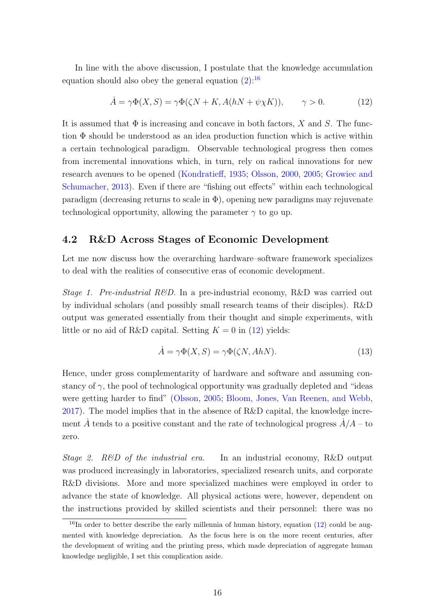In line with the above discussion, I postulate that the knowledge accumulation equation should also obey the general equation  $(2)$ :<sup>[16](#page-15-0)</sup>

<span id="page-15-1"></span>
$$
\dot{A} = \gamma \Phi(X, S) = \gamma \Phi(\zeta N + K, A(hN + \psi \chi K)), \qquad \gamma > 0.
$$
 (12)

It is assumed that  $\Phi$  is increasing and concave in both factors, X and S. The function  $\Phi$  should be understood as an idea production function which is active within a certain technological paradigm. Observable technological progress then comes from incremental innovations which, in turn, rely on radical innovations for new research avenues to be opened [\(Kondratieff,](#page-27-11) [1935;](#page-27-11) [Olsson,](#page-28-9) [2000,](#page-28-9) [2005;](#page-28-10) [Growiec and](#page-25-13) [Schumacher,](#page-25-13) [2013\)](#page-25-13). Even if there are "fishing out effects" within each technological paradigm (decreasing returns to scale in  $\Phi$ ), opening new paradigms may rejuvenate technological opportunity, allowing the parameter  $\gamma$  to go up.

#### 4.2 R&D Across Stages of Economic Development

Let me now discuss how the overarching hardware–software framework specializes to deal with the realities of consecutive eras of economic development.

Stage 1. Pre-industrial R&D. In a pre-industrial economy, R&D was carried out by individual scholars (and possibly small research teams of their disciples). R&D output was generated essentially from their thought and simple experiments, with little or no aid of R&D capital. Setting  $K = 0$  in [\(12\)](#page-15-1) yields:

$$
\dot{A} = \gamma \Phi(X, S) = \gamma \Phi(\zeta N, AhN). \tag{13}
$$

Hence, under gross complementarity of hardware and software and assuming constancy of  $\gamma$ , the pool of technological opportunity was gradually depleted and "ideas" were getting harder to find" [\(Olsson,](#page-28-10) [2005;](#page-28-10) [Bloom, Jones, Van Reenen, and Webb,](#page-24-9) [2017\)](#page-24-9). The model implies that in the absence of R&D capital, the knowledge increment A tends to a positive constant and the rate of technological progress  $A/A$  – to zero.

Stage 2. R&D of the industrial era. In an industrial economy, R&D output was produced increasingly in laboratories, specialized research units, and corporate R&D divisions. More and more specialized machines were employed in order to advance the state of knowledge. All physical actions were, however, dependent on the instructions provided by skilled scientists and their personnel: there was no

<span id="page-15-0"></span><sup>&</sup>lt;sup>16</sup>In order to better describe the early millennia of human history, equation [\(12\)](#page-15-1) could be augmented with knowledge depreciation. As the focus here is on the more recent centuries, after the development of writing and the printing press, which made depreciation of aggregate human knowledge negligible, I set this complication aside.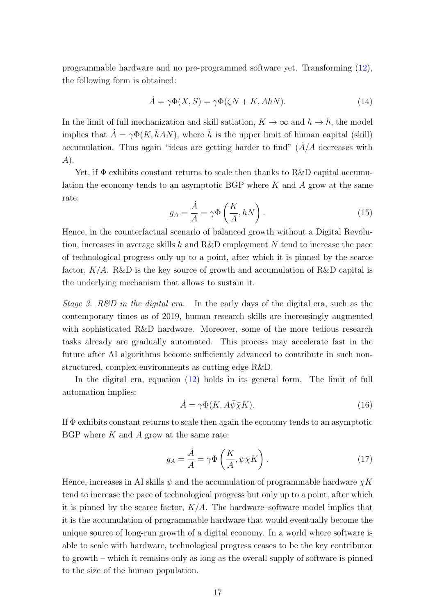programmable hardware and no pre-programmed software yet. Transforming [\(12\)](#page-15-1), the following form is obtained:

$$
\dot{A} = \gamma \Phi(X, S) = \gamma \Phi(\zeta N + K, AhN). \tag{14}
$$

In the limit of full mechanization and skill satiation,  $K \to \infty$  and  $h \to \bar{h}$ , the model implies that  $\dot{A} = \gamma \Phi(K, \bar{h}AN)$ , where  $\bar{h}$  is the upper limit of human capital (skill) accumulation. Thus again "ideas are getting harder to find"  $(A/A)$  decreases with A).

Yet, if Φ exhibits constant returns to scale then thanks to R&D capital accumulation the economy tends to an asymptotic BGP where  $K$  and  $A$  grow at the same rate:

$$
g_A = \frac{\dot{A}}{A} = \gamma \Phi \left( \frac{K}{A}, hN \right). \tag{15}
$$

Hence, in the counterfactual scenario of balanced growth without a Digital Revolution, increases in average skills h and R&D employment N tend to increase the pace of technological progress only up to a point, after which it is pinned by the scarce factor,  $K/A$ . R&D is the key source of growth and accumulation of R&D capital is the underlying mechanism that allows to sustain it.

Stage 3. R&D in the digital era. In the early days of the digital era, such as the contemporary times as of 2019, human research skills are increasingly augmented with sophisticated R&D hardware. Moreover, some of the more tedious research tasks already are gradually automated. This process may accelerate fast in the future after AI algorithms become sufficiently advanced to contribute in such nonstructured, complex environments as cutting-edge R&D.

In the digital era, equation [\(12\)](#page-15-1) holds in its general form. The limit of full automation implies:

$$
\dot{A} = \gamma \Phi(K, A\bar{\psi}\bar{\chi}K). \tag{16}
$$

If  $\Phi$  exhibits constant returns to scale then again the economy tends to an asymptotic BGP where  $K$  and  $A$  grow at the same rate:

$$
g_A = \frac{\dot{A}}{A} = \gamma \Phi \left( \frac{K}{A}, \psi \chi K \right). \tag{17}
$$

Hence, increases in AI skills  $\psi$  and the accumulation of programmable hardware  $\chi K$ tend to increase the pace of technological progress but only up to a point, after which it is pinned by the scarce factor,  $K/A$ . The hardware–software model implies that it is the accumulation of programmable hardware that would eventually become the unique source of long-run growth of a digital economy. In a world where software is able to scale with hardware, technological progress ceases to be the key contributor to growth – which it remains only as long as the overall supply of software is pinned to the size of the human population.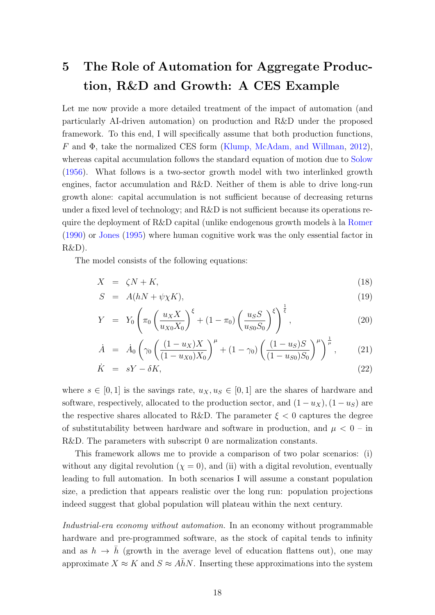## 5 The Role of Automation for Aggregate Production, R&D and Growth: A CES Example

Let me now provide a more detailed treatment of the impact of automation (and particularly AI-driven automation) on production and R&D under the proposed framework. To this end, I will specifically assume that both production functions, F and Φ, take the normalized CES form [\(Klump, McAdam, and Willman,](#page-27-5) [2012\)](#page-27-5), whereas capital accumulation follows the standard equation of motion due to [Solow](#page-28-3) [\(1956\)](#page-28-3). What follows is a two-sector growth model with two interlinked growth engines, factor accumulation and R&D. Neither of them is able to drive long-run growth alone: capital accumulation is not sufficient because of decreasing returns under a fixed level of technology; and R&D is not sufficient because its operations require the deployment of R&D capital (unlike endogenous growth models  $\lambda$  la [Romer](#page-28-2) [\(1990\)](#page-28-2) or [Jones](#page-26-8) [\(1995\)](#page-26-8) where human cognitive work was the only essential factor in R&D).

The model consists of the following equations:

<span id="page-17-0"></span>
$$
X = \zeta N + K,\tag{18}
$$

$$
S = A(hN + \psi \chi K), \tag{19}
$$

$$
Y = Y_0 \left( \pi_0 \left( \frac{u_X X}{u_{X0} X_0} \right)^{\xi} + (1 - \pi_0) \left( \frac{u_S S}{u_{S0} S_0} \right)^{\xi} \right)^{\frac{1}{\xi}},
$$
\n(20)

$$
\dot{A} = \dot{A}_0 \left( \gamma_0 \left( \frac{(1 - u_X)X}{(1 - u_{X0})X_0} \right)^{\mu} + (1 - \gamma_0) \left( \frac{(1 - u_S)S}{(1 - u_{S0})S_0} \right)^{\mu} \right)^{\frac{1}{\mu}}, \quad (21)
$$

$$
\dot{K} = sY - \delta K, \tag{22}
$$

where  $s \in [0, 1]$  is the savings rate,  $u_X, u_S \in [0, 1]$  are the shares of hardware and software, respectively, allocated to the production sector, and  $(1 - u_X)$ ,  $(1 - u_S)$  are the respective shares allocated to R&D. The parameter  $\xi < 0$  captures the degree of substitutability between hardware and software in production, and  $\mu < 0$  – in R&D. The parameters with subscript 0 are normalization constants.

This framework allows me to provide a comparison of two polar scenarios: (i) without any digital revolution  $(\chi = 0)$ , and (ii) with a digital revolution, eventually leading to full automation. In both scenarios I will assume a constant population size, a prediction that appears realistic over the long run: population projections indeed suggest that global population will plateau within the next century.

Industrial-era economy without automation. In an economy without programmable hardware and pre-programmed software, as the stock of capital tends to infinity and as  $h \to \bar{h}$  (growth in the average level of education flattens out), one may approximate  $X \approx K$  and  $S \approx A\bar{h}N$ . Inserting these approximations into the system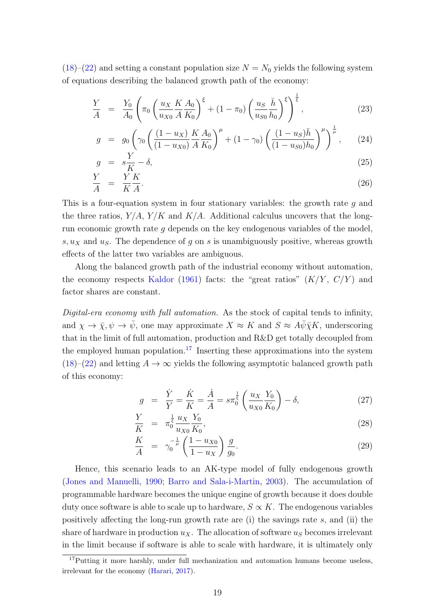$(18)$ – $(22)$  and setting a constant population size  $N = N_0$  yields the following system of equations describing the balanced growth path of the economy:

$$
\frac{Y}{A} = \frac{Y_0}{A_0} \left( \pi_0 \left( \frac{u_X}{u_{X0}} \frac{K}{A} \frac{A_0}{K_0} \right)^{\xi} + (1 - \pi_0) \left( \frac{u_S}{u_{S0}} \frac{\bar{h}}{h_0} \right)^{\xi} \right)^{\frac{1}{\xi}},
$$
\n(23)

$$
g = g_0 \left( \gamma_0 \left( \frac{(1 - u_X) K A_0}{(1 - u_{X0}) K R_0} \right)^{\mu} + (1 - \gamma_0) \left( \frac{(1 - u_S) \bar{h}}{(1 - u_{S0}) h_0} \right)^{\mu} \right)^{\frac{1}{\mu}}, \quad (24)
$$

$$
g = s\frac{Y}{K} - \delta,\tag{25}
$$

$$
\frac{Y}{A} = \frac{Y}{K} \frac{K}{A}.\tag{26}
$$

This is a four-equation system in four stationary variables: the growth rate g and the three ratios,  $Y/A$ ,  $Y/K$  and  $K/A$ . Additional calculus uncovers that the longrun economic growth rate g depends on the key endogenous variables of the model, s,  $u<sub>X</sub>$  and  $u<sub>S</sub>$ . The dependence of g on s is unambiguously positive, whereas growth effects of the latter two variables are ambiguous.

Along the balanced growth path of the industrial economy without automation, the economy respects [Kaldor](#page-26-9) [\(1961\)](#page-26-9) facts: the "great ratios"  $(K/Y, C/Y)$  and factor shares are constant.

Digital-era economy with full automation. As the stock of capital tends to infinity, and  $\chi \to \bar{\chi}, \psi \to \bar{\psi}$ , one may approximate  $X \approx K$  and  $S \approx A\bar{\psi}\bar{\chi}K$ , underscoring that in the limit of full automation, production and R&D get totally decoupled from the employed human population.<sup>[17](#page-18-0)</sup> Inserting these approximations into the system [\(18\)](#page-17-0)–[\(22\)](#page-17-0) and letting  $A \rightarrow \infty$  yields the following asymptotic balanced growth path of this economy:

$$
g = \frac{\dot{Y}}{Y} = \frac{\dot{K}}{K} = \frac{\dot{A}}{A} = s\pi_0^{\frac{1}{\xi}} \left(\frac{u_X}{u_{X0}} \frac{Y_0}{K_0}\right) - \delta,\tag{27}
$$

$$
\frac{Y}{K} = \pi_0^{\frac{1}{\xi}} \frac{u_X}{u_{X0}} \frac{Y_0}{K_0},\tag{28}
$$

$$
\frac{K}{A} = \gamma_0^{-\frac{1}{\mu}} \left( \frac{1 - u_{X0}}{1 - u_X} \right) \frac{g}{g_0}.
$$
\n(29)

Hence, this scenario leads to an AK-type model of fully endogenous growth [\(Jones and Manuelli,](#page-26-7) [1990;](#page-26-7) [Barro and Sala-i-Martin,](#page-24-12) [2003\)](#page-24-12). The accumulation of programmable hardware becomes the unique engine of growth because it does double duty once software is able to scale up to hardware,  $S \propto K$ . The endogenous variables positively affecting the long-run growth rate are  $(i)$  the savings rate s, and  $(ii)$  the share of hardware in production  $u<sub>X</sub>$ . The allocation of software  $u<sub>S</sub>$  becomes irrelevant in the limit because if software is able to scale with hardware, it is ultimately only

<span id="page-18-0"></span><sup>&</sup>lt;sup>17</sup>Putting it more harshly, under full mechanization and automation humans become useless, irrelevant for the economy [\(Harari,](#page-25-14) [2017\)](#page-25-14).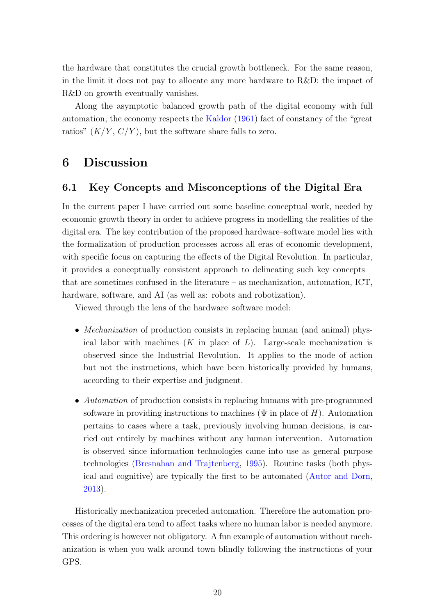the hardware that constitutes the crucial growth bottleneck. For the same reason, in the limit it does not pay to allocate any more hardware to R&D: the impact of R&D on growth eventually vanishes.

Along the asymptotic balanced growth path of the digital economy with full automation, the economy respects the [Kaldor](#page-26-9) [\(1961\)](#page-26-9) fact of constancy of the "great ratios"  $(K/Y, C/Y)$ , but the software share falls to zero.

### 6 Discussion

### 6.1 Key Concepts and Misconceptions of the Digital Era

In the current paper I have carried out some baseline conceptual work, needed by economic growth theory in order to achieve progress in modelling the realities of the digital era. The key contribution of the proposed hardware–software model lies with the formalization of production processes across all eras of economic development, with specific focus on capturing the effects of the Digital Revolution. In particular, it provides a conceptually consistent approach to delineating such key concepts – that are sometimes confused in the literature – as mechanization, automation, ICT, hardware, software, and AI (as well as: robots and robotization).

Viewed through the lens of the hardware–software model:

- *Mechanization* of production consists in replacing human (and animal) physical labor with machines  $(K$  in place of  $L$ ). Large-scale mechanization is observed since the Industrial Revolution. It applies to the mode of action but not the instructions, which have been historically provided by humans, according to their expertise and judgment.
- Automation of production consists in replacing humans with pre-programmed software in providing instructions to machines ( $\Psi$  in place of H). Automation pertains to cases where a task, previously involving human decisions, is carried out entirely by machines without any human intervention. Automation is observed since information technologies came into use as general purpose technologies [\(Bresnahan and Trajtenberg,](#page-24-3) [1995\)](#page-24-3). Routine tasks (both physical and cognitive) are typically the first to be automated [\(Autor and Dorn,](#page-23-3) [2013\)](#page-23-3).

Historically mechanization preceded automation. Therefore the automation processes of the digital era tend to affect tasks where no human labor is needed anymore. This ordering is however not obligatory. A fun example of automation without mechanization is when you walk around town blindly following the instructions of your GPS.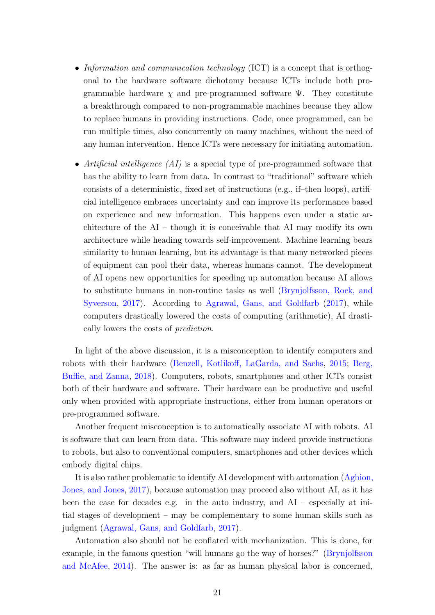- Information and communication technology (ICT) is a concept that is orthogonal to the hardware–software dichotomy because ICTs include both programmable hardware  $\chi$  and pre-programmed software  $\Psi$ . They constitute a breakthrough compared to non-programmable machines because they allow to replace humans in providing instructions. Code, once programmed, can be run multiple times, also concurrently on many machines, without the need of any human intervention. Hence ICTs were necessary for initiating automation.
- Artificial intelligence (AI) is a special type of pre-programmed software that has the ability to learn from data. In contrast to "traditional" software which consists of a deterministic, fixed set of instructions (e.g., if–then loops), artificial intelligence embraces uncertainty and can improve its performance based on experience and new information. This happens even under a static architecture of the  $AI -$  though it is conceivable that  $AI$  may modify its own architecture while heading towards self-improvement. Machine learning bears similarity to human learning, but its advantage is that many networked pieces of equipment can pool their data, whereas humans cannot. The development of AI opens new opportunities for speeding up automation because AI allows to substitute humans in non-routine tasks as well [\(Brynjolfsson, Rock, and](#page-24-5) [Syverson,](#page-24-5) [2017\)](#page-24-5). According to [Agrawal, Gans, and Goldfarb](#page-23-11) [\(2017\)](#page-23-11), while computers drastically lowered the costs of computing (arithmetic), AI drastically lowers the costs of prediction.

In light of the above discussion, it is a misconception to identify computers and robots with their hardware [\(Benzell, Kotlikoff, LaGarda, and Sachs,](#page-24-0) [2015;](#page-24-0) [Berg,](#page-24-1) [Buffie, and Zanna,](#page-24-1) [2018\)](#page-24-1). Computers, robots, smartphones and other ICTs consist both of their hardware and software. Their hardware can be productive and useful only when provided with appropriate instructions, either from human operators or pre-programmed software.

Another frequent misconception is to automatically associate AI with robots. AI is software that can learn from data. This software may indeed provide instructions to robots, but also to conventional computers, smartphones and other devices which embody digital chips.

It is also rather problematic to identify AI development with automation [\(Aghion,](#page-23-7) [Jones, and Jones,](#page-23-7) [2017\)](#page-23-7), because automation may proceed also without AI, as it has been the case for decades e.g. in the auto industry, and  $AI -$  especially at initial stages of development – may be complementary to some human skills such as judgment [\(Agrawal, Gans, and Goldfarb,](#page-23-11) [2017\)](#page-23-11).

Automation also should not be conflated with mechanization. This is done, for example, in the famous question "will humans go the way of horses?" [\(Brynjolfsson](#page-24-4) [and McAfee,](#page-24-4) [2014\)](#page-24-4). The answer is: as far as human physical labor is concerned,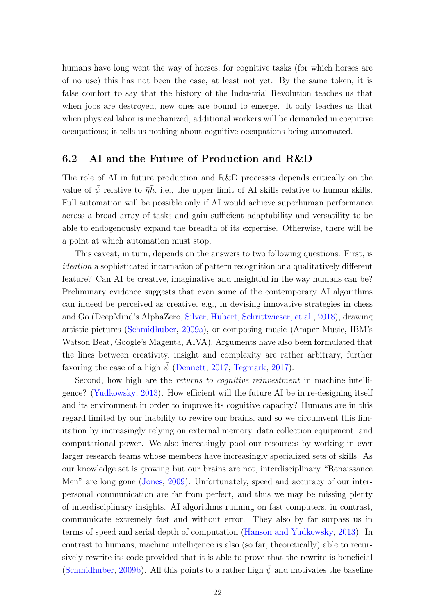humans have long went the way of horses; for cognitive tasks (for which horses are of no use) this has not been the case, at least not yet. By the same token, it is false comfort to say that the history of the Industrial Revolution teaches us that when jobs are destroyed, new ones are bound to emerge. It only teaches us that when physical labor is mechanized, additional workers will be demanded in cognitive occupations; it tells us nothing about cognitive occupations being automated.

### 6.2 AI and the Future of Production and R&D

The role of AI in future production and R&D processes depends critically on the value of  $\bar{\psi}$  relative to  $\bar{\eta}h$ , i.e., the upper limit of AI skills relative to human skills. Full automation will be possible only if AI would achieve superhuman performance across a broad array of tasks and gain sufficient adaptability and versatility to be able to endogenously expand the breadth of its expertise. Otherwise, there will be a point at which automation must stop.

This caveat, in turn, depends on the answers to two following questions. First, is ideation a sophisticated incarnation of pattern recognition or a qualitatively different feature? Can AI be creative, imaginative and insightful in the way humans can be? Preliminary evidence suggests that even some of the contemporary AI algorithms can indeed be perceived as creative, e.g., in devising innovative strategies in chess and Go (DeepMind's AlphaZero, [Silver, Hubert, Schrittwieser, et al.,](#page-28-11) [2018\)](#page-28-11), drawing artistic pictures [\(Schmidhuber,](#page-28-12) [2009a\)](#page-28-12), or composing music (Amper Music, IBM's Watson Beat, Google's Magenta, AIVA). Arguments have also been formulated that the lines between creativity, insight and complexity are rather arbitrary, further favoring the case of a high  $\psi$  [\(Dennett,](#page-24-10) [2017;](#page-24-10) [Tegmark,](#page-28-8) [2017\)](#page-28-8).

Second, how high are the returns to cognitive reinvestment in machine intelligence? [\(Yudkowsky,](#page-29-1) [2013\)](#page-29-1). How efficient will the future AI be in re-designing itself and its environment in order to improve its cognitive capacity? Humans are in this regard limited by our inability to rewire our brains, and so we circumvent this limitation by increasingly relying on external memory, data collection equipment, and computational power. We also increasingly pool our resources by working in ever larger research teams whose members have increasingly specialized sets of skills. As our knowledge set is growing but our brains are not, interdisciplinary "Renaissance Men" are long gone [\(Jones,](#page-26-13) [2009\)](#page-26-13). Unfortunately, speed and accuracy of our interpersonal communication are far from perfect, and thus we may be missing plenty of interdisciplinary insights. AI algorithms running on fast computers, in contrast, communicate extremely fast and without error. They also by far surpass us in terms of speed and serial depth of computation [\(Hanson and Yudkowsky,](#page-25-10) [2013\)](#page-25-10). In contrast to humans, machine intelligence is also (so far, theoretically) able to recursively rewrite its code provided that it is able to prove that the rewrite is beneficial [\(Schmidhuber,](#page-28-13) [2009b\)](#page-28-13). All this points to a rather high  $\psi$  and motivates the baseline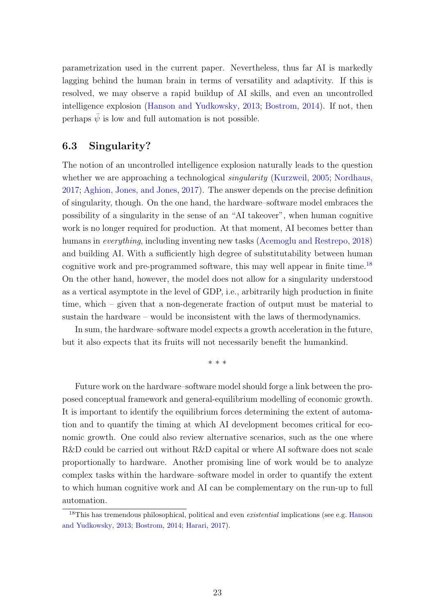parametrization used in the current paper. Nevertheless, thus far AI is markedly lagging behind the human brain in terms of versatility and adaptivity. If this is resolved, we may observe a rapid buildup of AI skills, and even an uncontrolled intelligence explosion [\(Hanson and Yudkowsky,](#page-25-10) [2013;](#page-25-10) [Bostrom,](#page-24-13) [2014\)](#page-24-13). If not, then perhaps  $\bar{\psi}$  is low and full automation is not possible.

### 6.3 Singularity?

The notion of an uncontrolled intelligence explosion naturally leads to the question whether we are approaching a technological *singularity* [\(Kurzweil,](#page-27-12) [2005;](#page-27-12) [Nordhaus,](#page-28-0) [2017;](#page-28-0) [Aghion, Jones, and Jones,](#page-23-7) [2017\)](#page-23-7). The answer depends on the precise definition of singularity, though. On the one hand, the hardware–software model embraces the possibility of a singularity in the sense of an "AI takeover", when human cognitive work is no longer required for production. At that moment, AI becomes better than humans in *everything*, including inventing new tasks [\(Acemoglu and Restrepo,](#page-23-0) [2018\)](#page-23-0) and building AI. With a sufficiently high degree of substitutability between human cognitive work and pre-programmed software, this may well appear in finite time.[18](#page-22-0) On the other hand, however, the model does not allow for a singularity understood as a vertical asymptote in the level of GDP, i.e., arbitrarily high production in finite time, which – given that a non-degenerate fraction of output must be material to sustain the hardware – would be inconsistent with the laws of thermodynamics.

In sum, the hardware–software model expects a growth acceleration in the future, but it also expects that its fruits will not necessarily benefit the humankind.

\* \* \*

Future work on the hardware–software model should forge a link between the proposed conceptual framework and general-equilibrium modelling of economic growth. It is important to identify the equilibrium forces determining the extent of automation and to quantify the timing at which AI development becomes critical for economic growth. One could also review alternative scenarios, such as the one where R&D could be carried out without R&D capital or where AI software does not scale proportionally to hardware. Another promising line of work would be to analyze complex tasks within the hardware–software model in order to quantify the extent to which human cognitive work and AI can be complementary on the run-up to full automation.

<span id="page-22-0"></span> $18$ This has tremendous philosophical, political and even *existential* implications (see e.g. [Hanson](#page-25-10) [and Yudkowsky,](#page-25-10) [2013;](#page-25-10) [Bostrom,](#page-24-13) [2014;](#page-24-13) [Harari,](#page-25-14) [2017\)](#page-25-14).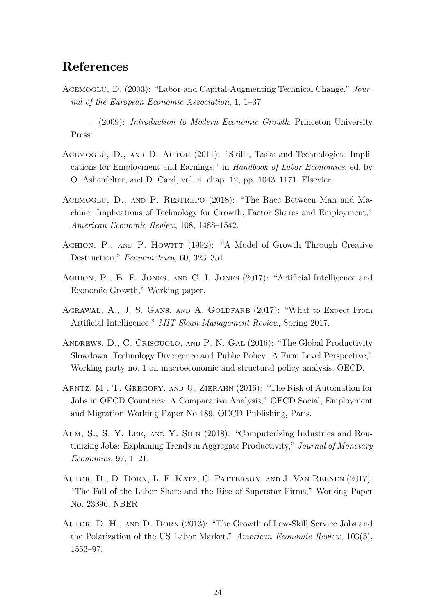### References

<span id="page-23-9"></span>Acemoglu, D. (2003): "Labor-and Capital-Augmenting Technical Change," Journal of the European Economic Association, 1, 1–37.

<span id="page-23-10"></span>(2009): Introduction to Modern Economic Growth. Princeton University Press.

- <span id="page-23-2"></span>ACEMOGLU, D., AND D. AUTOR (2011): "Skills, Tasks and Technologies: Implications for Employment and Earnings," in Handbook of Labor Economics, ed. by O. Ashenfelter, and D. Card, vol. 4, chap. 12, pp. 1043–1171. Elsevier.
- <span id="page-23-0"></span>Acemoglu, D., and P. Restrepo (2018): "The Race Between Man and Machine: Implications of Technology for Growth, Factor Shares and Employment," American Economic Review, 108, 1488–1542.
- <span id="page-23-8"></span>AGHION, P., AND P. HOWITT (1992): "A Model of Growth Through Creative Destruction," Econometrica, 60, 323–351.
- <span id="page-23-7"></span>Aghion, P., B. F. Jones, and C. I. Jones (2017): "Artificial Intelligence and Economic Growth," Working paper.
- <span id="page-23-11"></span>AGRAWAL, A., J. S. GANS, AND A. GOLDFARB (2017): "What to Expect From Artificial Intelligence," MIT Sloan Management Review, Spring 2017.
- <span id="page-23-4"></span>Andrews, D., C. Criscuolo, and P. N. Gal (2016): "The Global Productivity Slowdown, Technology Divergence and Public Policy: A Firm Level Perspective," Working party no. 1 on macroeconomic and structural policy analysis, OECD.
- <span id="page-23-5"></span>Arntz, M., T. Gregory, and U. Zierahn (2016): "The Risk of Automation for Jobs in OECD Countries: A Comparative Analysis," OECD Social, Employment and Migration Working Paper No 189, OECD Publishing, Paris.
- <span id="page-23-1"></span>Aum, S., S. Y. Lee, and Y. Shin (2018): "Computerizing Industries and Routinizing Jobs: Explaining Trends in Aggregate Productivity," Journal of Monetary Economics, 97, 1–21.
- <span id="page-23-6"></span>Autor, D., D. Dorn, L. F. Katz, C. Patterson, and J. Van Reenen (2017): "The Fall of the Labor Share and the Rise of Superstar Firms," Working Paper No. 23396, NBER.
- <span id="page-23-3"></span>Autor, D. H., and D. Dorn (2013): "The Growth of Low-Skill Service Jobs and the Polarization of the US Labor Market," American Economic Review, 103(5), 1553–97.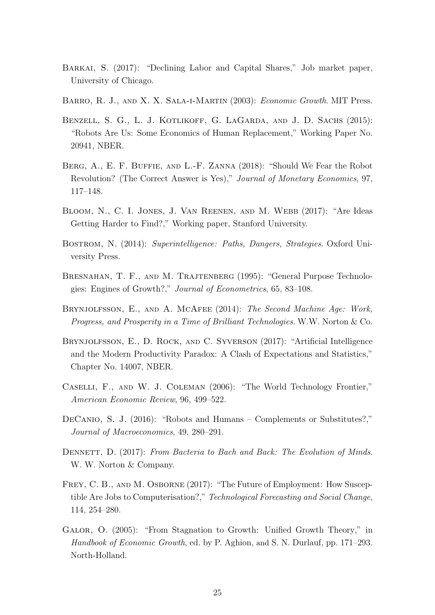- <span id="page-24-7"></span>BARKAI, S. (2017): "Declining Labor and Capital Shares," Job market paper, University of Chicago.
- <span id="page-24-12"></span>BARRO, R. J., AND X. X. SALA-I-MARTIN (2003): Economic Growth. MIT Press.
- <span id="page-24-0"></span>Benzell, S. G., L. J. Kotlikoff, G. LaGarda, and J. D. Sachs (2015): "Robots Are Us: Some Economics of Human Replacement," Working Paper No. 20941, NBER.
- <span id="page-24-1"></span>BERG, A., E. F. BUFFIE, AND L.-F. ZANNA (2018): "Should We Fear the Robot Revolution? (The Correct Answer is Yes)," Journal of Monetary Economics, 97, 117–148.
- <span id="page-24-9"></span>Bloom, N., C. I. Jones, J. Van Reenen, and M. Webb (2017): "Are Ideas Getting Harder to Find?," Working paper, Stanford University.
- <span id="page-24-13"></span>Bostrom, N. (2014): Superintelligence: Paths, Dangers, Strategies. Oxford University Press.
- <span id="page-24-3"></span>Bresnahan, T. F., and M. Trajtenberg (1995): "General Purpose Technologies: Engines of Growth?," Journal of Econometrics, 65, 83–108.
- <span id="page-24-4"></span>BRYNJOLFSSON, E., AND A. MCAFEE (2014): The Second Machine Age: Work, Progress, and Prosperity in a Time of Brilliant Technologies. W.W. Norton & Co.
- <span id="page-24-5"></span>Brynjolfsson, E., D. Rock, and C. Syverson (2017): "Artificial Intelligence and the Modern Productivity Paradox: A Clash of Expectations and Statistics," Chapter No. 14007, NBER.
- <span id="page-24-2"></span>Caselli, F., and W. J. Coleman (2006): "The World Technology Frontier," American Economic Review, 96, 499–522.
- <span id="page-24-8"></span>DeCanio, S. J. (2016): "Robots and Humans – Complements or Substitutes?," Journal of Macroeconomics, 49, 280–291.
- <span id="page-24-10"></span>DENNETT, D. (2017): From Bacteria to Bach and Back: The Evolution of Minds. W. W. Norton & Company.
- <span id="page-24-6"></span>FREY, C. B., AND M. OSBORNE (2017): "The Future of Employment: How Susceptible Are Jobs to Computerisation?," Technological Forecasting and Social Change, 114, 254–280.
- <span id="page-24-11"></span>Galor, O. (2005): "From Stagnation to Growth: Unified Growth Theory," in Handbook of Economic Growth, ed. by P. Aghion, and S. N. Durlauf, pp. 171–293. North-Holland.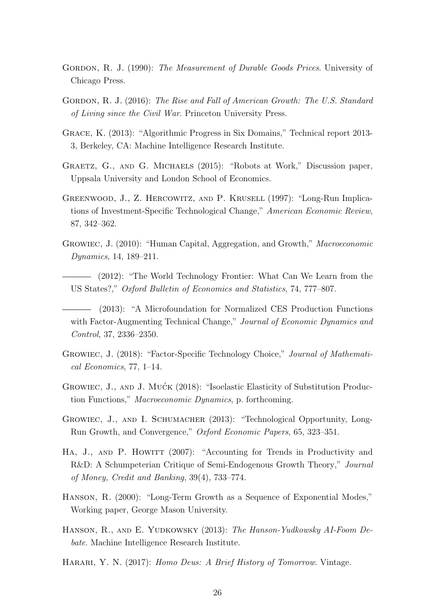- <span id="page-25-0"></span>GORDON, R. J. (1990): The Measurement of Durable Goods Prices. University of Chicago Press.
- <span id="page-25-3"></span>GORDON, R. J. (2016): The Rise and Fall of American Growth: The U.S. Standard of Living since the Civil War. Princeton University Press.
- <span id="page-25-12"></span>Grace, K. (2013): "Algorithmic Progress in Six Domains," Technical report 2013- 3, Berkeley, CA: Machine Intelligence Research Institute.
- <span id="page-25-4"></span>GRAETZ, G., AND G. MICHAELS (2015): "Robots at Work," Discussion paper, Uppsala University and London School of Economics.
- <span id="page-25-1"></span>Greenwood, J., Z. Hercowitz, and P. Krusell (1997): "Long-Run Implications of Investment-Specific Technological Change," American Economic Review, 87, 342–362.
- <span id="page-25-9"></span>Growiec, J. (2010): "Human Capital, Aggregation, and Growth," Macroeconomic Dynamics, 14, 189–211.
- <span id="page-25-2"></span>(2012): "The World Technology Frontier: What Can We Learn from the US States?," Oxford Bulletin of Economics and Statistics, 74, 777–807.
- <span id="page-25-5"></span>(2013): "A Microfoundation for Normalized CES Production Functions with Factor-Augmenting Technical Change," Journal of Economic Dynamics and Control, 37, 2336–2350.
- <span id="page-25-6"></span>Growiec, J. (2018): "Factor-Specific Technology Choice," Journal of Mathematical Economics, 77, 1–14.
- <span id="page-25-8"></span>GROWIEC, J., AND J. MUĆK (2018): "Isoelastic Elasticity of Substitution Production Functions," Macroeconomic Dynamics, p. forthcoming.
- <span id="page-25-13"></span>Growiec, J., and I. Schumacher (2013): "Technological Opportunity, Long-Run Growth, and Convergence," Oxford Economic Papers, 65, 323–351.
- <span id="page-25-7"></span>HA, J., AND P. HOWITT (2007): "Accounting for Trends in Productivity and R&D: A Schumpeterian Critique of Semi-Endogenous Growth Theory," Journal of Money, Credit and Banking, 39(4), 733–774.
- <span id="page-25-11"></span>Hanson, R. (2000): "Long-Term Growth as a Sequence of Exponential Modes," Working paper, George Mason University.
- <span id="page-25-10"></span>HANSON, R., AND E. YUDKOWSKY (2013): The Hanson-Yudkowsky AI-Foom Debate. Machine Intelligence Research Institute.
- <span id="page-25-14"></span>HARARI, Y. N. (2017): Homo Deus: A Brief History of Tomorrow. Vintage.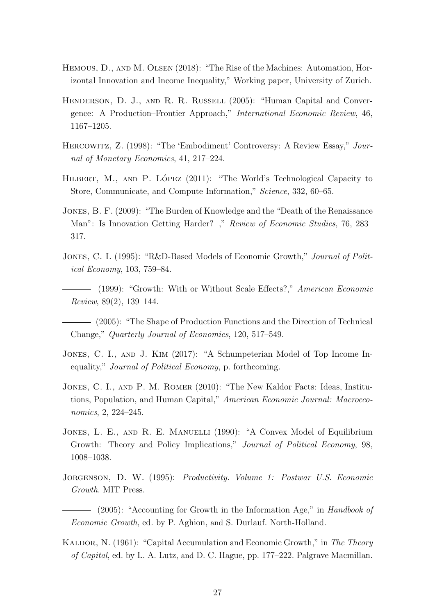- <span id="page-26-6"></span>HEMOUS, D., AND M. OLSEN (2018): "The Rise of the Machines: Automation, Horizontal Innovation and Income Inequality," Working paper, University of Zurich.
- <span id="page-26-2"></span>HENDERSON, D. J., AND R. R. RUSSELL (2005): "Human Capital and Convergence: A Production–Frontier Approach," International Economic Review, 46, 1167–1205.
- <span id="page-26-1"></span>Hercowitz, Z. (1998): "The 'Embodiment' Controversy: A Review Essay," Journal of Monetary Economics, 41, 217–224.
- <span id="page-26-11"></span>HILBERT, M., AND P. LÓPEZ  $(2011)$ : "The World's Technological Capacity to Store, Communicate, and Compute Information," Science, 332, 60–65.
- <span id="page-26-13"></span>Jones, B. F. (2009): "The Burden of Knowledge and the "Death of the Renaissance Man": Is Innovation Getting Harder? ," Review of Economic Studies, 76, 283– 317.
- <span id="page-26-8"></span>JONES, C. I. (1995): "R&D-Based Models of Economic Growth," *Journal of Polit*ical Economy, 103, 759–84.
- <span id="page-26-12"></span>(1999): "Growth: With or Without Scale Effects?," American Economic Review, 89(2), 139–144.
- <span id="page-26-4"></span>(2005): "The Shape of Production Functions and the Direction of Technical Change," Quarterly Journal of Economics, 120, 517–549.
- <span id="page-26-5"></span>JONES, C. I., AND J. KIM (2017): "A Schumpeterian Model of Top Income Inequality," Journal of Political Economy, p. forthcoming.
- <span id="page-26-10"></span>Jones, C. I., and P. M. Romer (2010): "The New Kaldor Facts: Ideas, Institutions, Population, and Human Capital," American Economic Journal: Macroeconomics, 2, 224–245.
- <span id="page-26-7"></span>JONES, L. E., AND R. E. MANUELLI (1990): "A Convex Model of Equilibrium Growth: Theory and Policy Implications," *Journal of Political Economy*, 98, 1008–1038.
- <span id="page-26-0"></span>JORGENSON, D. W. (1995): Productivity. Volume 1: Postwar U.S. Economic Growth. MIT Press.
- <span id="page-26-3"></span>- (2005): "Accounting for Growth in the Information Age," in Handbook of Economic Growth, ed. by P. Aghion, and S. Durlauf. North-Holland.
- <span id="page-26-9"></span>KALDOR, N. (1961): "Capital Accumulation and Economic Growth," in The Theory of Capital, ed. by L. A. Lutz, and D. C. Hague, pp. 177–222. Palgrave Macmillan.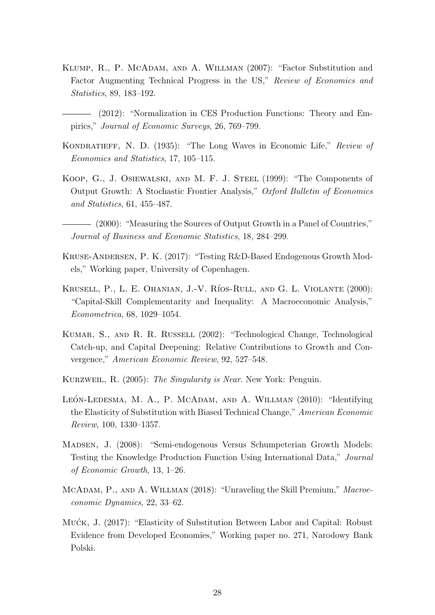- <span id="page-27-4"></span>KLUMP, R., P. MCADAM, AND A. WILLMAN (2007): "Factor Substitution and Factor Augmenting Technical Progress in the US," Review of Economics and Statistics, 89, 183–192.
	- (2012): "Normalization in CES Production Functions: Theory and Empirics," Journal of Economic Surveys, 26, 769–799.
- <span id="page-27-11"></span><span id="page-27-5"></span>Kondratieff, N. D. (1935): "The Long Waves in Economic Life," Review of Economics and Statistics, 17, 105–115.
- <span id="page-27-1"></span>Koop, G., J. Osiewalski, and M. F. J. Steel (1999): "The Components of Output Growth: A Stochastic Frontier Analysis," Oxford Bulletin of Economics and Statistics, 61, 455–487.

<span id="page-27-2"></span>(2000): "Measuring the Sources of Output Growth in a Panel of Countries," Journal of Business and Economic Statistics, 18, 284–299.

- <span id="page-27-9"></span>Kruse-Andersen, P. K. (2017): "Testing R&D-Based Endogenous Growth Models," Working paper, University of Copenhagen.
- <span id="page-27-3"></span>KRUSELL, P., L. E. OHANIAN, J.-V. RÍOS-RULL, AND G. L. VIOLANTE (2000): "Capital-Skill Complementarity and Inequality: A Macroeconomic Analysis," Econometrica, 68, 1029–1054.
- <span id="page-27-0"></span>Kumar, S., and R. R. Russell (2002): "Technological Change, Technological Catch-up, and Capital Deepening: Relative Contributions to Growth and Convergence," American Economic Review, 92, 527–548.
- <span id="page-27-12"></span>Kurzweil, R. (2005): The Singularity is Near. New York: Penguin.
- <span id="page-27-10"></span>LEÓN-LEDESMA, M. A., P. MCADAM, AND A. WILLMAN  $(2010)$ : "Identifying the Elasticity of Substitution with Biased Technical Change," American Economic Review, 100, 1330–1357.
- <span id="page-27-8"></span>Madsen, J. (2008): "Semi-endogenous Versus Schumpeterian Growth Models: Testing the Knowledge Production Function Using International Data," Journal of Economic Growth, 13, 1–26.
- <span id="page-27-7"></span>MCADAM, P., AND A. WILLMAN (2018): "Unraveling the Skill Premium," Macroeconomic Dynamics, 22, 33–62.
- <span id="page-27-6"></span>Mućk, J. (2017): "Elasticity of Substitution Between Labor and Capital: Robust Evidence from Developed Economies," Working paper no. 271, Narodowy Bank Polski.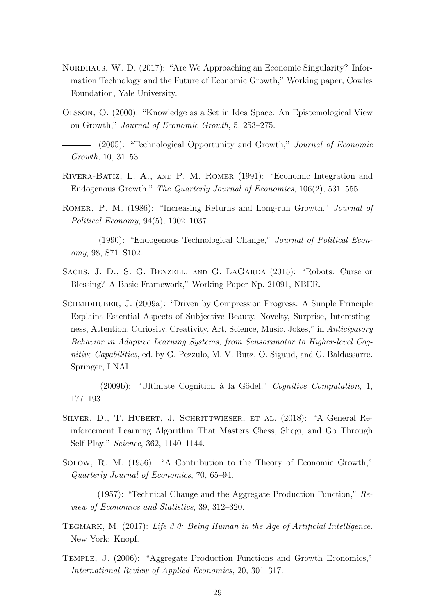- <span id="page-28-0"></span>NORDHAUS, W. D. (2017): "Are We Approaching an Economic Singularity? Information Technology and the Future of Economic Growth," Working paper, Cowles Foundation, Yale University.
- <span id="page-28-9"></span>Olsson, O. (2000): "Knowledge as a Set in Idea Space: An Epistemological View on Growth," Journal of Economic Growth, 5, 253–275.
- <span id="page-28-10"></span>(2005): "Technological Opportunity and Growth," Journal of Economic Growth, 10, 31–53.
- <span id="page-28-7"></span>Rivera-Batiz, L. A., and P. M. Romer (1991): "Economic Integration and Endogenous Growth," The Quarterly Journal of Economics, 106(2), 531–555.
- <span id="page-28-6"></span>ROMER, P. M. (1986): "Increasing Returns and Long-run Growth," *Journal of* Political Economy, 94(5), 1002–1037.
- <span id="page-28-2"></span>- (1990): "Endogenous Technological Change," Journal of Political Economy, 98, S71–S102.
- <span id="page-28-1"></span>SACHS, J. D., S. G. BENZELL, AND G. LAGARDA (2015): "Robots: Curse or Blessing? A Basic Framework," Working Paper Np. 21091, NBER.
- <span id="page-28-12"></span>Schmidhuber, J. (2009a): "Driven by Compression Progress: A Simple Principle Explains Essential Aspects of Subjective Beauty, Novelty, Surprise, Interestingness, Attention, Curiosity, Creativity, Art, Science, Music, Jokes," in Anticipatory Behavior in Adaptive Learning Systems, from Sensorimotor to Higher-level Cognitive Capabilities, ed. by G. Pezzulo, M. V. Butz, O. Sigaud, and G. Baldassarre. Springer, LNAI.

<span id="page-28-13"></span>(2009b): "Ultimate Cognition à la Gödel," Cognitive Computation, 1, 177–193.

- <span id="page-28-11"></span>SILVER, D., T. HUBERT, J. SCHRITTWIESER, ET AL. (2018): "A General Reinforcement Learning Algorithm That Masters Chess, Shogi, and Go Through Self-Play," Science, 362, 1140–1144.
- <span id="page-28-3"></span>Solow, R. M. (1956): "A Contribution to the Theory of Economic Growth," Quarterly Journal of Economics, 70, 65–94.
- <span id="page-28-4"></span> $-$  (1957): "Technical Change and the Aggregate Production Function," Review of Economics and Statistics, 39, 312–320.
- <span id="page-28-8"></span>TEGMARK, M.  $(2017)$ : Life 3.0: Being Human in the Age of Artificial Intelligence. New York: Knopf.
- <span id="page-28-5"></span>Temple, J. (2006): "Aggregate Production Functions and Growth Economics," International Review of Applied Economics, 20, 301–317.